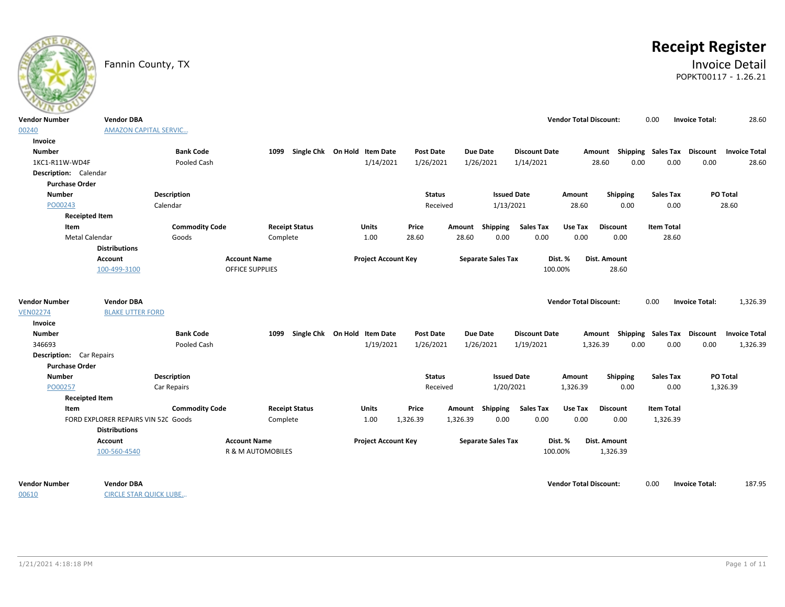

# **Receipt Register**

# Fannin County, TX **Invoice Detail** POPKT00117 - 1.26.21

| $\sim$                          |                                     |                       |                              |                                   |                            |                  |          |                           |                      |                               |                                    |                   |                       |                      |
|---------------------------------|-------------------------------------|-----------------------|------------------------------|-----------------------------------|----------------------------|------------------|----------|---------------------------|----------------------|-------------------------------|------------------------------------|-------------------|-----------------------|----------------------|
| Vendor Number                   | <b>Vendor DBA</b>                   |                       |                              |                                   |                            |                  |          |                           |                      | <b>Vendor Total Discount:</b> |                                    | 0.00              | <b>Invoice Total:</b> | 28.60                |
| 00240                           | <b>AMAZON CAPITAL SERVIC</b>        |                       |                              |                                   |                            |                  |          |                           |                      |                               |                                    |                   |                       |                      |
| Invoice                         |                                     |                       |                              |                                   |                            |                  |          |                           |                      |                               |                                    |                   |                       |                      |
| <b>Number</b>                   |                                     | <b>Bank Code</b>      |                              | 1099 Single Chk On Hold Item Date |                            | <b>Post Date</b> |          | Due Date                  | <b>Discount Date</b> |                               | Amount Shipping Sales Tax Discount |                   |                       | <b>Invoice Total</b> |
| 1KC1-R11W-WD4F                  |                                     | Pooled Cash           |                              |                                   | 1/14/2021                  | 1/26/2021        |          | 1/26/2021                 | 1/14/2021            |                               | 0.00<br>28.60                      | 0.00              | 0.00                  | 28.60                |
| Description: Calendar           |                                     |                       |                              |                                   |                            |                  |          |                           |                      |                               |                                    |                   |                       |                      |
| <b>Purchase Order</b>           |                                     |                       |                              |                                   |                            |                  |          |                           |                      |                               |                                    |                   |                       |                      |
| <b>Number</b>                   |                                     | <b>Description</b>    |                              |                                   |                            | <b>Status</b>    |          | <b>Issued Date</b>        |                      | Amount                        | Shipping                           | <b>Sales Tax</b>  |                       | PO Total             |
| PO00243                         |                                     | Calendar              |                              |                                   |                            | Received         |          | 1/13/2021                 |                      | 28.60                         | 0.00                               | 0.00              |                       | 28.60                |
| <b>Receipted Item</b>           |                                     |                       |                              |                                   |                            |                  |          |                           |                      |                               |                                    |                   |                       |                      |
| Item                            |                                     | <b>Commodity Code</b> |                              | <b>Receipt Status</b>             | <b>Units</b>               | Price            | Amount   | Shipping                  | <b>Sales Tax</b>     | Use Tax                       | <b>Discount</b>                    | <b>Item Total</b> |                       |                      |
| Metal Calendar                  |                                     | Goods                 | Complete                     |                                   | 1.00                       | 28.60            | 28.60    | 0.00                      | 0.00                 | 0.00                          | 0.00                               | 28.60             |                       |                      |
|                                 | <b>Distributions</b>                |                       |                              |                                   |                            |                  |          |                           |                      |                               |                                    |                   |                       |                      |
|                                 | Account                             |                       | <b>Account Name</b>          |                                   | <b>Project Account Key</b> |                  |          | <b>Separate Sales Tax</b> |                      | Dist. %                       | Dist. Amount                       |                   |                       |                      |
|                                 | 100-499-3100                        |                       | OFFICE SUPPLIES              |                                   |                            |                  |          |                           | 100.00%              |                               | 28.60                              |                   |                       |                      |
|                                 |                                     |                       |                              |                                   |                            |                  |          |                           |                      |                               |                                    |                   |                       |                      |
| <b>Vendor Number</b>            | <b>Vendor DBA</b>                   |                       |                              |                                   |                            |                  |          |                           |                      | <b>Vendor Total Discount:</b> |                                    | 0.00              | <b>Invoice Total:</b> | 1,326.39             |
| <b>VEN02274</b>                 | <b>BLAKE UTTER FORD</b>             |                       |                              |                                   |                            |                  |          |                           |                      |                               |                                    |                   |                       |                      |
| Invoice                         |                                     |                       |                              |                                   |                            |                  |          |                           |                      |                               |                                    |                   |                       |                      |
| Number                          |                                     | <b>Bank Code</b>      | 1099                         | Single Chk On Hold Item Date      |                            | <b>Post Date</b> |          | <b>Due Date</b>           | <b>Discount Date</b> |                               | Amount Shipping Sales Tax Discount |                   |                       | <b>Invoice Total</b> |
| 346693                          |                                     | Pooled Cash           |                              |                                   | 1/19/2021                  | 1/26/2021        |          | 1/26/2021                 | 1/19/2021            |                               | 1,326.39<br>0.00                   | 0.00              | 0.00                  | 1,326.39             |
| <b>Description:</b> Car Repairs |                                     |                       |                              |                                   |                            |                  |          |                           |                      |                               |                                    |                   |                       |                      |
| <b>Purchase Order</b>           |                                     |                       |                              |                                   |                            |                  |          |                           |                      |                               |                                    |                   |                       |                      |
| <b>Number</b>                   |                                     | <b>Description</b>    |                              |                                   |                            | <b>Status</b>    |          | <b>Issued Date</b>        |                      | Amount                        | <b>Shipping</b>                    | <b>Sales Tax</b>  |                       | PO Total             |
| PO00257                         |                                     | Car Repairs           |                              |                                   |                            | Received         |          | 1/20/2021                 |                      | 1,326.39                      | 0.00                               | 0.00              |                       | 1,326.39             |
| <b>Receipted Item</b>           |                                     |                       |                              |                                   |                            |                  |          |                           |                      |                               |                                    |                   |                       |                      |
| Item                            |                                     | <b>Commodity Code</b> |                              | <b>Receipt Status</b>             | Units                      | Price            | Amount   | Shipping                  | <b>Sales Tax</b>     | Use Tax                       | <b>Discount</b>                    | <b>Item Total</b> |                       |                      |
|                                 | FORD EXPLORER REPAIRS VIN 520 Goods |                       | Complete                     |                                   | 1.00                       | 1,326.39         | 1,326.39 | 0.00                      | 0.00                 | 0.00                          | 0.00                               | 1,326.39          |                       |                      |
|                                 | <b>Distributions</b>                |                       |                              |                                   |                            |                  |          |                           |                      |                               |                                    |                   |                       |                      |
|                                 | Account                             |                       | <b>Account Name</b>          |                                   | <b>Project Account Key</b> |                  |          | <b>Separate Sales Tax</b> |                      | Dist. %                       | Dist. Amount                       |                   |                       |                      |
|                                 | 100-560-4540                        |                       | <b>R &amp; M AUTOMOBILES</b> |                                   |                            |                  |          |                           | 100.00%              |                               | 1,326.39                           |                   |                       |                      |
|                                 |                                     |                       |                              |                                   |                            |                  |          |                           |                      |                               |                                    |                   |                       |                      |
| Vendor Number                   | <b>Vendor DBA</b>                   |                       |                              |                                   |                            |                  |          |                           |                      | <b>Vendor Total Discount:</b> |                                    | 0.00              | <b>Invoice Total:</b> | 187.95               |

00610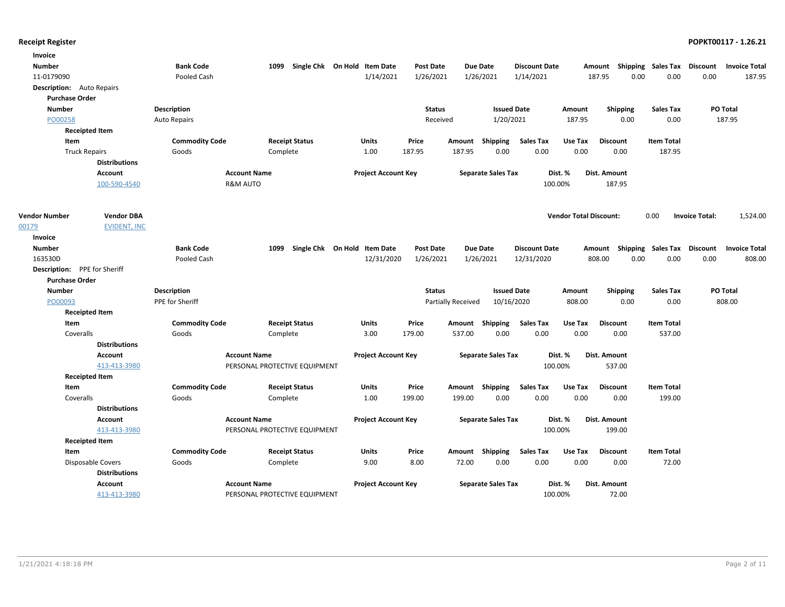| Invoice                          |                       |                       |                               |                              |                            |                  |                    |                           |                      |                               |                     |                                    |                       |                      |
|----------------------------------|-----------------------|-----------------------|-------------------------------|------------------------------|----------------------------|------------------|--------------------|---------------------------|----------------------|-------------------------------|---------------------|------------------------------------|-----------------------|----------------------|
| <b>Number</b>                    |                       | <b>Bank Code</b>      | 1099                          | Single Chk On Hold Item Date |                            | <b>Post Date</b> |                    | <b>Due Date</b>           | <b>Discount Date</b> |                               |                     | Amount Shipping Sales Tax Discount |                       | <b>Invoice Total</b> |
| 11-0179090                       |                       | Pooled Cash           |                               |                              | 1/14/2021                  | 1/26/2021        |                    | 1/26/2021                 | 1/14/2021            |                               | 187.95              | 0.00<br>0.00                       | 0.00                  | 187.95               |
| <b>Description:</b> Auto Repairs |                       |                       |                               |                              |                            |                  |                    |                           |                      |                               |                     |                                    |                       |                      |
| <b>Purchase Order</b>            |                       |                       |                               |                              |                            |                  |                    |                           |                      |                               |                     |                                    |                       |                      |
| <b>Number</b>                    |                       | <b>Description</b>    |                               |                              |                            | <b>Status</b>    |                    | <b>Issued Date</b>        |                      | Amount                        | Shipping            | <b>Sales Tax</b>                   |                       | PO Total             |
| PO00258                          |                       | <b>Auto Repairs</b>   |                               |                              |                            | Received         |                    | 1/20/2021                 |                      | 187.95                        | 0.00                | 0.00                               |                       | 187.95               |
|                                  | <b>Receipted Item</b> |                       |                               |                              |                            |                  |                    |                           |                      |                               |                     |                                    |                       |                      |
| Item                             |                       | <b>Commodity Code</b> |                               | <b>Receipt Status</b>        | Units                      | Price            | Amount             | Shipping                  | <b>Sales Tax</b>     | Use Tax                       | <b>Discount</b>     | <b>Item Total</b>                  |                       |                      |
|                                  | <b>Truck Repairs</b>  | Goods                 | Complete                      |                              | 1.00                       | 187.95           | 187.95             | 0.00                      | 0.00                 | 0.00                          | 0.00                | 187.95                             |                       |                      |
|                                  | <b>Distributions</b>  |                       |                               |                              |                            |                  |                    |                           |                      |                               |                     |                                    |                       |                      |
|                                  | <b>Account</b>        |                       | <b>Account Name</b>           |                              | <b>Project Account Key</b> |                  |                    | <b>Separate Sales Tax</b> |                      | Dist. %                       | Dist. Amount        |                                    |                       |                      |
|                                  | 100-590-4540          |                       | <b>R&amp;M AUTO</b>           |                              |                            |                  |                    |                           |                      | 100.00%                       | 187.95              |                                    |                       |                      |
|                                  |                       |                       |                               |                              |                            |                  |                    |                           |                      |                               |                     |                                    |                       |                      |
|                                  |                       |                       |                               |                              |                            |                  |                    |                           |                      |                               |                     |                                    |                       |                      |
| <b>Vendor Number</b>             | <b>Vendor DBA</b>     |                       |                               |                              |                            |                  |                    |                           |                      | <b>Vendor Total Discount:</b> |                     | 0.00                               | <b>Invoice Total:</b> | 1,524.00             |
| 00179                            | <b>EVIDENT, INC</b>   |                       |                               |                              |                            |                  |                    |                           |                      |                               |                     |                                    |                       |                      |
| Invoice                          |                       |                       |                               |                              |                            |                  |                    |                           |                      |                               |                     |                                    |                       |                      |
| <b>Number</b>                    |                       | <b>Bank Code</b>      | 1099                          | Single Chk On Hold Item Date |                            | <b>Post Date</b> |                    | <b>Due Date</b>           | <b>Discount Date</b> |                               |                     | Amount Shipping Sales Tax Discount |                       | <b>Invoice Total</b> |
| 163530D                          |                       | Pooled Cash           |                               |                              | 12/31/2020                 | 1/26/2021        |                    | 1/26/2021                 | 12/31/2020           |                               | 808.00              | 0.00<br>0.00                       | 0.00                  | 808.00               |
| Description: PPE for Sheriff     |                       |                       |                               |                              |                            |                  |                    |                           |                      |                               |                     |                                    |                       |                      |
| <b>Purchase Order</b>            |                       |                       |                               |                              |                            |                  |                    |                           |                      |                               |                     |                                    |                       |                      |
| <b>Number</b>                    |                       | <b>Description</b>    |                               |                              |                            | <b>Status</b>    |                    | <b>Issued Date</b>        |                      | Amount                        | <b>Shipping</b>     | <b>Sales Tax</b>                   |                       | <b>PO Total</b>      |
| PO00093                          |                       | PPE for Sheriff       |                               |                              |                            |                  | Partially Received | 10/16/2020                |                      | 808.00                        | 0.00                | 0.00                               |                       | 808.00               |
|                                  | <b>Receipted Item</b> |                       |                               |                              |                            |                  |                    |                           |                      |                               |                     |                                    |                       |                      |
| Item                             |                       | <b>Commodity Code</b> |                               | <b>Receipt Status</b>        | Units                      | Price            |                    | Amount Shipping           | <b>Sales Tax</b>     | Use Tax                       | <b>Discount</b>     | <b>Item Total</b>                  |                       |                      |
| Coveralls                        |                       | Goods                 | Complete                      |                              | 3.00                       | 179.00           | 537.00             | 0.00                      | 0.00                 | 0.00                          | 0.00                | 537.00                             |                       |                      |
|                                  | <b>Distributions</b>  |                       |                               |                              |                            |                  |                    |                           |                      |                               |                     |                                    |                       |                      |
|                                  | <b>Account</b>        |                       | <b>Account Name</b>           |                              | <b>Project Account Key</b> |                  |                    | <b>Separate Sales Tax</b> |                      | Dist. %                       | Dist. Amount        |                                    |                       |                      |
|                                  | 413-413-3980          |                       | PERSONAL PROTECTIVE EQUIPMENT |                              |                            |                  |                    |                           |                      | 100.00%                       | 537.00              |                                    |                       |                      |
|                                  | <b>Receipted Item</b> |                       |                               |                              |                            |                  |                    |                           |                      |                               |                     |                                    |                       |                      |
| Item                             |                       | <b>Commodity Code</b> |                               | <b>Receipt Status</b>        | Units                      | Price            | Amount             | Shipping                  | <b>Sales Tax</b>     | Use Tax                       | <b>Discount</b>     | <b>Item Total</b>                  |                       |                      |
| Coveralls                        |                       | Goods                 | Complete                      |                              | 1.00                       | 199.00           | 199.00             | 0.00                      | 0.00                 | 0.00                          | 0.00                | 199.00                             |                       |                      |
|                                  | <b>Distributions</b>  |                       |                               |                              |                            |                  |                    |                           |                      |                               |                     |                                    |                       |                      |
|                                  | <b>Account</b>        |                       | <b>Account Name</b>           |                              | <b>Project Account Key</b> |                  |                    | <b>Separate Sales Tax</b> |                      | Dist. %                       | Dist. Amount        |                                    |                       |                      |
|                                  | 413-413-3980          |                       | PERSONAL PROTECTIVE EQUIPMENT |                              |                            |                  |                    |                           |                      | 100.00%                       | 199.00              |                                    |                       |                      |
|                                  | <b>Receipted Item</b> |                       |                               |                              |                            |                  |                    |                           |                      |                               |                     |                                    |                       |                      |
| Item                             |                       | <b>Commodity Code</b> |                               | <b>Receipt Status</b>        | Units                      | Price            |                    | Amount Shipping           | <b>Sales Tax</b>     | Use Tax                       | <b>Discount</b>     | <b>Item Total</b>                  |                       |                      |
|                                  | Disposable Covers     | Goods                 | Complete                      |                              | 9.00                       | 8.00             | 72.00              | 0.00                      | 0.00                 | 0.00                          | 0.00                | 72.00                              |                       |                      |
|                                  | <b>Distributions</b>  |                       |                               |                              |                            |                  |                    |                           |                      |                               |                     |                                    |                       |                      |
|                                  | <b>Account</b>        |                       | <b>Account Name</b>           |                              | <b>Project Account Key</b> |                  |                    | <b>Separate Sales Tax</b> |                      | Dist. %                       | <b>Dist. Amount</b> |                                    |                       |                      |
|                                  | 413-413-3980          |                       | PERSONAL PROTECTIVE EQUIPMENT |                              |                            |                  |                    |                           |                      | 100.00%                       | 72.00               |                                    |                       |                      |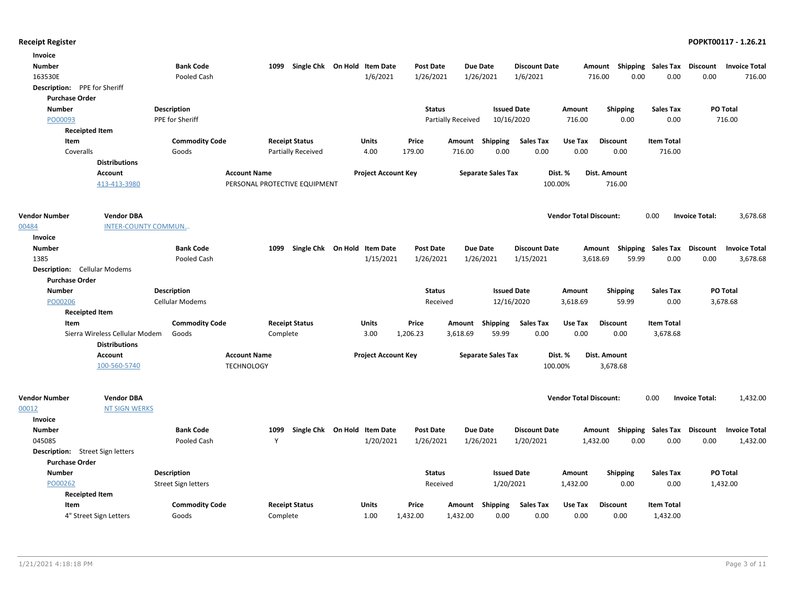| Invoice                             |                                |                       |                               |                              |                            |                  |                           |                           |                      |                               |                                    |                   |                       |                      |
|-------------------------------------|--------------------------------|-----------------------|-------------------------------|------------------------------|----------------------------|------------------|---------------------------|---------------------------|----------------------|-------------------------------|------------------------------------|-------------------|-----------------------|----------------------|
| <b>Number</b>                       |                                | <b>Bank Code</b>      | 1099                          | Single Chk On Hold Item Date |                            | <b>Post Date</b> | <b>Due Date</b>           |                           | <b>Discount Date</b> |                               | Amount Shipping Sales Tax          |                   | Discount              | <b>Invoice Total</b> |
| 163530E                             |                                | Pooled Cash           |                               |                              | 1/6/2021                   | 1/26/2021        | 1/26/2021                 |                           | 1/6/2021             |                               | 716.00<br>0.00                     | 0.00              | 0.00                  | 716.00               |
| Description: PPE for Sheriff        |                                |                       |                               |                              |                            |                  |                           |                           |                      |                               |                                    |                   |                       |                      |
| <b>Purchase Order</b>               |                                |                       |                               |                              |                            |                  |                           |                           |                      |                               |                                    |                   |                       |                      |
| <b>Number</b>                       |                                | <b>Description</b>    |                               |                              |                            | <b>Status</b>    |                           | <b>Issued Date</b>        |                      | Amount                        | <b>Shipping</b>                    | <b>Sales Tax</b>  |                       | PO Total             |
| PO00093                             |                                | PPE for Sheriff       |                               |                              |                            |                  | <b>Partially Received</b> | 10/16/2020                |                      | 716.00                        | 0.00                               | 0.00              |                       | 716.00               |
| <b>Receipted Item</b>               |                                |                       |                               |                              |                            |                  |                           |                           |                      |                               |                                    |                   |                       |                      |
| Item                                |                                | <b>Commodity Code</b> | <b>Receipt Status</b>         |                              | Units                      | Price            | Amount                    | Shipping                  | <b>Sales Tax</b>     | Use Tax                       | <b>Discount</b>                    | <b>Item Total</b> |                       |                      |
| Coveralls                           |                                | Goods                 |                               | Partially Received           | 4.00                       | 179.00           | 716.00                    | 0.00                      | 0.00                 | 0.00                          | 0.00                               | 716.00            |                       |                      |
|                                     | <b>Distributions</b>           |                       |                               |                              |                            |                  |                           |                           |                      |                               |                                    |                   |                       |                      |
|                                     | <b>Account</b>                 |                       | <b>Account Name</b>           |                              | <b>Project Account Key</b> |                  |                           | <b>Separate Sales Tax</b> | Dist. %              |                               | Dist. Amount                       |                   |                       |                      |
|                                     | 413-413-3980                   |                       | PERSONAL PROTECTIVE EQUIPMENT |                              |                            |                  |                           |                           | 100.00%              |                               | 716.00                             |                   |                       |                      |
|                                     |                                |                       |                               |                              |                            |                  |                           |                           |                      |                               |                                    |                   |                       |                      |
| <b>Vendor Number</b>                | <b>Vendor DBA</b>              |                       |                               |                              |                            |                  |                           |                           |                      | <b>Vendor Total Discount:</b> |                                    | 0.00              | <b>Invoice Total:</b> | 3,678.68             |
| 00484                               | <b>INTER-COUNTY COMMUN</b>     |                       |                               |                              |                            |                  |                           |                           |                      |                               |                                    |                   |                       |                      |
| Invoice                             |                                |                       |                               |                              |                            |                  |                           |                           |                      |                               |                                    |                   |                       |                      |
| <b>Number</b>                       |                                | <b>Bank Code</b>      | 1099                          | Single Chk On Hold Item Date |                            | <b>Post Date</b> | <b>Due Date</b>           |                           | <b>Discount Date</b> |                               | Amount Shipping Sales Tax Discount |                   |                       | <b>Invoice Total</b> |
| 1385                                |                                | Pooled Cash           |                               |                              | 1/15/2021                  | 1/26/2021        | 1/26/2021                 |                           | 1/15/2021            |                               | 3,618.69<br>59.99                  | 0.00              | 0.00                  | 3,678.68             |
| <b>Description:</b> Cellular Modems |                                |                       |                               |                              |                            |                  |                           |                           |                      |                               |                                    |                   |                       |                      |
| <b>Purchase Order</b>               |                                |                       |                               |                              |                            |                  |                           |                           |                      |                               |                                    |                   |                       |                      |
| <b>Number</b>                       |                                | <b>Description</b>    |                               |                              |                            | <b>Status</b>    |                           | <b>Issued Date</b>        |                      | Amount                        | <b>Shipping</b>                    | <b>Sales Tax</b>  |                       | PO Total             |
| PO00206                             |                                | Cellular Modems       |                               |                              |                            | Received         |                           | 12/16/2020                |                      | 3,618.69                      | 59.99                              | 0.00              |                       | 3,678.68             |
| <b>Receipted Item</b>               |                                |                       |                               |                              |                            |                  |                           |                           |                      |                               |                                    |                   |                       |                      |
| Item                                |                                | <b>Commodity Code</b> | <b>Receipt Status</b>         |                              | <b>Units</b>               | Price            | Amount                    | Shipping                  | <b>Sales Tax</b>     | Use Tax                       | <b>Discount</b>                    | <b>Item Total</b> |                       |                      |
|                                     | Sierra Wireless Cellular Modem | Goods                 | Complete                      |                              | 3.00                       | 1,206.23         | 3,618.69                  | 59.99                     | 0.00                 | 0.00                          | 0.00                               | 3,678.68          |                       |                      |
|                                     | <b>Distributions</b>           |                       |                               |                              |                            |                  |                           |                           |                      |                               |                                    |                   |                       |                      |
|                                     | <b>Account</b>                 |                       | <b>Account Name</b>           |                              | <b>Project Account Key</b> |                  |                           | <b>Separate Sales Tax</b> | Dist. %              |                               | <b>Dist. Amount</b>                |                   |                       |                      |
|                                     | 100-560-5740                   |                       | <b>TECHNOLOGY</b>             |                              |                            |                  |                           |                           | 100.00%              |                               | 3,678.68                           |                   |                       |                      |
|                                     |                                |                       |                               |                              |                            |                  |                           |                           |                      |                               |                                    |                   |                       |                      |
|                                     |                                |                       |                               |                              |                            |                  |                           |                           |                      |                               |                                    |                   |                       |                      |
| <b>Vendor Number</b>                | <b>Vendor DBA</b>              |                       |                               |                              |                            |                  |                           |                           |                      | <b>Vendor Total Discount:</b> |                                    | 0.00              | <b>Invoice Total:</b> | 1,432.00             |
| 00012                               | <b>NT SIGN WERKS</b>           |                       |                               |                              |                            |                  |                           |                           |                      |                               |                                    |                   |                       |                      |
| Invoice                             |                                |                       |                               |                              |                            |                  |                           |                           |                      |                               |                                    |                   |                       |                      |
| <b>Number</b>                       |                                | <b>Bank Code</b>      | 1099                          | Single Chk On Hold Item Date |                            | <b>Post Date</b> | <b>Due Date</b>           |                           | <b>Discount Date</b> |                               | Shipping<br>Amount                 | Sales Tax         | <b>Discount</b>       | <b>Invoice Total</b> |
| 045085                              |                                | Pooled Cash           | Y                             |                              | 1/20/2021                  | 1/26/2021        | 1/26/2021                 |                           | 1/20/2021            |                               | 0.00<br>1,432.00                   | 0.00              | 0.00                  | 1,432.00             |
| Description: Street Sign letters    |                                |                       |                               |                              |                            |                  |                           |                           |                      |                               |                                    |                   |                       |                      |
| <b>Purchase Order</b>               |                                |                       |                               |                              |                            |                  |                           |                           |                      |                               |                                    |                   |                       |                      |
| <b>Number</b>                       |                                | <b>Description</b>    |                               |                              |                            | <b>Status</b>    |                           | <b>Issued Date</b>        |                      | Amount                        | <b>Shipping</b>                    | <b>Sales Tax</b>  |                       | PO Total             |
| PO00262                             |                                | Street Sign letters   |                               |                              |                            | Received         |                           | 1/20/2021                 |                      | 1,432.00                      | 0.00                               | 0.00              |                       | 1,432.00             |
| <b>Receipted Item</b>               |                                |                       |                               |                              |                            |                  |                           |                           |                      |                               |                                    |                   |                       |                      |
| Item                                |                                | <b>Commodity Code</b> | <b>Receipt Status</b>         |                              | <b>Units</b>               | Price            | Amount                    | Shipping                  | <b>Sales Tax</b>     | Use Tax                       | <b>Discount</b>                    | <b>Item Total</b> |                       |                      |
|                                     | 4" Street Sign Letters         | Goods                 | Complete                      |                              | 1.00                       | 1,432.00         | 1,432.00                  | 0.00                      | 0.00                 | 0.00                          | 0.00                               | 1,432.00          |                       |                      |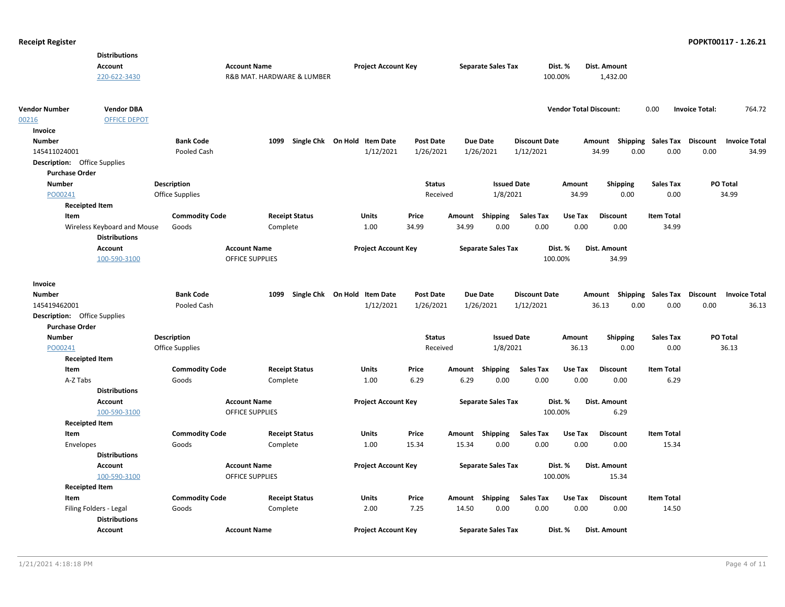|                                     | <b>Distributions</b>                                |                       |                     |                            |                              |                  |        |                           |                      |                               |                 |                                    |                       |                      |
|-------------------------------------|-----------------------------------------------------|-----------------------|---------------------|----------------------------|------------------------------|------------------|--------|---------------------------|----------------------|-------------------------------|-----------------|------------------------------------|-----------------------|----------------------|
|                                     | <b>Account</b>                                      |                       | <b>Account Name</b> |                            | <b>Project Account Key</b>   |                  |        | <b>Separate Sales Tax</b> |                      | Dist. %                       | Dist. Amount    |                                    |                       |                      |
|                                     | 220-622-3430                                        |                       |                     | R&B MAT. HARDWARE & LUMBER |                              |                  |        |                           |                      | 100.00%                       | 1,432.00        |                                    |                       |                      |
|                                     |                                                     |                       |                     |                            |                              |                  |        |                           |                      |                               |                 |                                    |                       |                      |
| <b>Vendor Number</b>                | <b>Vendor DBA</b>                                   |                       |                     |                            |                              |                  |        |                           |                      | <b>Vendor Total Discount:</b> |                 | 0.00                               | <b>Invoice Total:</b> | 764.72               |
| 00216                               | <b>OFFICE DEPOT</b>                                 |                       |                     |                            |                              |                  |        |                           |                      |                               |                 |                                    |                       |                      |
| Invoice                             |                                                     |                       |                     |                            |                              |                  |        |                           |                      |                               |                 |                                    |                       |                      |
| <b>Number</b>                       |                                                     | <b>Bank Code</b>      |                     | 1099                       | Single Chk On Hold Item Date | Post Date        |        | <b>Due Date</b>           | <b>Discount Date</b> |                               | Amount          | Shipping Sales Tax                 | Discount              | <b>Invoice Total</b> |
| 145411024001                        |                                                     | Pooled Cash           |                     |                            | 1/12/2021                    | 1/26/2021        |        | 1/26/2021                 | 1/12/2021            |                               | 34.99           | 0.00<br>0.00                       | 0.00                  | 34.99                |
| <b>Description:</b> Office Supplies |                                                     |                       |                     |                            |                              |                  |        |                           |                      |                               |                 |                                    |                       |                      |
| <b>Purchase Order</b>               |                                                     |                       |                     |                            |                              |                  |        |                           |                      |                               |                 |                                    |                       |                      |
| <b>Number</b>                       |                                                     | <b>Description</b>    |                     |                            |                              | <b>Status</b>    |        | <b>Issued Date</b>        |                      | Amount                        | <b>Shipping</b> | <b>Sales Tax</b>                   | PO Total              |                      |
| PO00241                             |                                                     | Office Supplies       |                     |                            |                              | Received         |        | 1/8/2021                  |                      | 34.99                         | 0.00            | 0.00                               |                       | 34.99                |
| <b>Receipted Item</b>               |                                                     |                       |                     |                            |                              |                  |        |                           |                      |                               |                 |                                    |                       |                      |
| Item                                |                                                     | <b>Commodity Code</b> |                     | <b>Receipt Status</b>      | Units                        | Price            |        | Amount Shipping           | <b>Sales Tax</b>     | Use Tax                       | <b>Discount</b> | <b>Item Total</b>                  |                       |                      |
|                                     | Wireless Keyboard and Mouse<br><b>Distributions</b> | Goods                 |                     | Complete                   | 1.00                         | 34.99            | 34.99  | 0.00                      | 0.00                 | 0.00                          | 0.00            | 34.99                              |                       |                      |
|                                     | <b>Account</b>                                      |                       | <b>Account Name</b> |                            | <b>Project Account Key</b>   |                  |        | <b>Separate Sales Tax</b> |                      | Dist. %                       | Dist. Amount    |                                    |                       |                      |
|                                     | 100-590-3100                                        |                       | OFFICE SUPPLIES     |                            |                              |                  |        |                           |                      | 100.00%                       | 34.99           |                                    |                       |                      |
|                                     |                                                     |                       |                     |                            |                              |                  |        |                           |                      |                               |                 |                                    |                       |                      |
| Invoice                             |                                                     |                       |                     |                            |                              |                  |        |                           |                      |                               |                 |                                    |                       |                      |
| <b>Number</b>                       |                                                     | <b>Bank Code</b>      |                     | 1099                       | Single Chk On Hold Item Date | <b>Post Date</b> |        | <b>Due Date</b>           | <b>Discount Date</b> |                               |                 | Amount Shipping Sales Tax Discount |                       | <b>Invoice Total</b> |
| 145419462001                        |                                                     | Pooled Cash           |                     |                            | 1/12/2021                    | 1/26/2021        |        | 1/26/2021                 | 1/12/2021            |                               | 36.13           | 0.00<br>0.00                       | 0.00                  | 36.13                |
| <b>Description:</b> Office Supplies |                                                     |                       |                     |                            |                              |                  |        |                           |                      |                               |                 |                                    |                       |                      |
| <b>Purchase Order</b>               |                                                     |                       |                     |                            |                              |                  |        |                           |                      |                               |                 |                                    |                       |                      |
| <b>Number</b>                       |                                                     | <b>Description</b>    |                     |                            |                              | <b>Status</b>    |        | <b>Issued Date</b>        |                      | Amount                        | <b>Shipping</b> | <b>Sales Tax</b>                   | <b>PO Total</b>       |                      |
| PO00241                             |                                                     | Office Supplies       |                     |                            |                              | Received         |        | 1/8/2021                  |                      | 36.13                         | 0.00            | 0.00                               |                       | 36.13                |
| <b>Receipted Item</b>               |                                                     |                       |                     |                            |                              |                  |        |                           |                      |                               |                 |                                    |                       |                      |
| Item                                |                                                     | <b>Commodity Code</b> |                     | <b>Receipt Status</b>      | Units                        | Price            | Amount | Shipping                  | <b>Sales Tax</b>     | Use Tax                       | <b>Discount</b> | <b>Item Total</b>                  |                       |                      |
| A-Z Tabs                            |                                                     | Goods                 |                     | Complete                   | 1.00                         | 6.29             | 6.29   | 0.00                      | 0.00                 | 0.00                          | 0.00            | 6.29                               |                       |                      |
|                                     | <b>Distributions</b>                                |                       |                     |                            |                              |                  |        |                           |                      |                               |                 |                                    |                       |                      |
|                                     | Account                                             |                       | <b>Account Name</b> |                            | <b>Project Account Key</b>   |                  |        | <b>Separate Sales Tax</b> |                      | Dist. %                       | Dist. Amount    |                                    |                       |                      |
|                                     | 100-590-3100                                        |                       | OFFICE SUPPLIES     |                            |                              |                  |        |                           |                      | 100.00%                       | 6.29            |                                    |                       |                      |
| <b>Receipted Item</b>               |                                                     |                       |                     |                            |                              |                  |        |                           |                      |                               |                 |                                    |                       |                      |
| Item                                |                                                     | <b>Commodity Code</b> |                     | <b>Receipt Status</b>      | Units                        | Price            |        | Amount Shipping           | <b>Sales Tax</b>     | Use Tax                       | <b>Discount</b> | <b>Item Total</b>                  |                       |                      |
| Envelopes                           |                                                     | Goods                 |                     | Complete                   | 1.00                         | 15.34            | 15.34  | 0.00                      | 0.00                 | 0.00                          | 0.00            | 15.34                              |                       |                      |
|                                     | <b>Distributions</b>                                |                       |                     |                            |                              |                  |        |                           |                      |                               |                 |                                    |                       |                      |
|                                     | <b>Account</b>                                      |                       | <b>Account Name</b> |                            | <b>Project Account Key</b>   |                  |        | <b>Separate Sales Tax</b> |                      | Dist. %                       | Dist. Amount    |                                    |                       |                      |
|                                     | 100-590-3100                                        |                       | OFFICE SUPPLIES     |                            |                              |                  |        |                           |                      | 100.00%                       | 15.34           |                                    |                       |                      |
| <b>Receipted Item</b>               |                                                     |                       |                     |                            |                              |                  |        |                           |                      |                               |                 |                                    |                       |                      |
| Item                                |                                                     | <b>Commodity Code</b> |                     | <b>Receipt Status</b>      | Units                        | Price            |        | Amount Shipping           | <b>Sales Tax</b>     | Use Tax                       | <b>Discount</b> | <b>Item Total</b>                  |                       |                      |
|                                     | Filing Folders - Legal                              | Goods                 |                     | Complete                   | 2.00                         | 7.25             | 14.50  | 0.00                      | 0.00                 | 0.00                          | 0.00            | 14.50                              |                       |                      |
|                                     | <b>Distributions</b>                                |                       |                     |                            |                              |                  |        |                           |                      |                               |                 |                                    |                       |                      |
|                                     | <b>Account</b>                                      |                       | <b>Account Name</b> |                            | <b>Project Account Key</b>   |                  |        | <b>Separate Sales Tax</b> |                      | Dist. %                       | Dist. Amount    |                                    |                       |                      |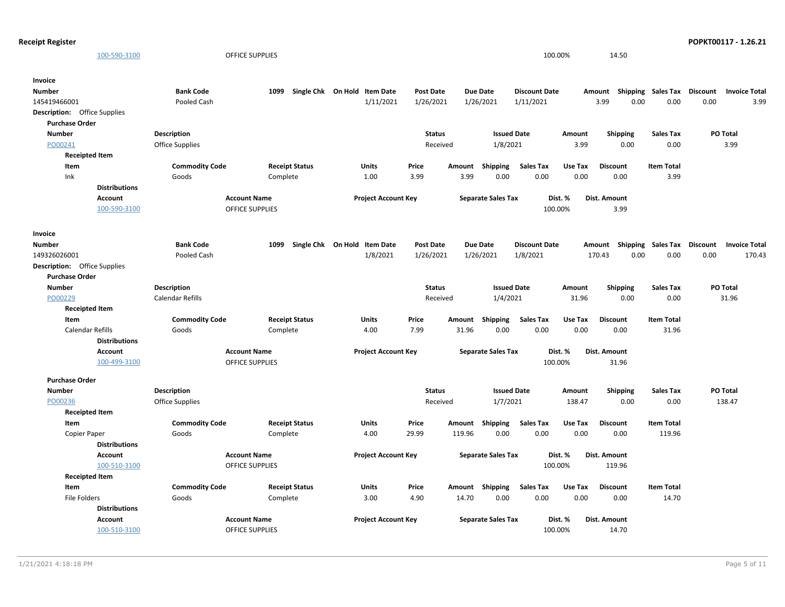```
Receipt Register POPKT00117 - 1.26.21
```

| 100-590-3100                                                 |                         | <b>OFFICE SUPPLIES</b>                        |                              |                            |                  |        |                           | 100.00%              |         | 14.50                |                           |                 |                      |
|--------------------------------------------------------------|-------------------------|-----------------------------------------------|------------------------------|----------------------------|------------------|--------|---------------------------|----------------------|---------|----------------------|---------------------------|-----------------|----------------------|
| Invoice                                                      |                         |                                               |                              |                            |                  |        |                           |                      |         |                      |                           |                 |                      |
| <b>Number</b>                                                | <b>Bank Code</b>        | 1099                                          | Single Chk On Hold Item Date |                            | Post Date        |        | <b>Due Date</b>           | <b>Discount Date</b> |         | Amount               | Shipping Sales Tax        | <b>Discount</b> | <b>Invoice Total</b> |
| 145419466001                                                 | Pooled Cash             |                                               |                              | 1/11/2021                  | 1/26/2021        |        | 1/26/2021                 | 1/11/2021            |         | 3.99                 | 0.00<br>0.00              | 0.00            | 3.99                 |
| <b>Description:</b> Office Supplies<br><b>Purchase Order</b> |                         |                                               |                              |                            |                  |        |                           |                      |         |                      |                           |                 |                      |
| <b>Number</b>                                                | Description             |                                               |                              |                            | <b>Status</b>    |        | <b>Issued Date</b>        |                      | Amount  | <b>Shipping</b>      | <b>Sales Tax</b>          |                 | PO Total             |
| PO00241                                                      | <b>Office Supplies</b>  |                                               |                              |                            | Received         |        | 1/8/2021                  |                      | 3.99    | 0.00                 | 0.00                      |                 | 3.99                 |
| <b>Receipted Item</b>                                        |                         |                                               |                              |                            |                  |        |                           |                      |         |                      |                           |                 |                      |
| Item                                                         | <b>Commodity Code</b>   | <b>Receipt Status</b>                         |                              | <b>Units</b>               | Price            | Amount | <b>Shipping</b>           | <b>Sales Tax</b>     | Use Tax | <b>Discount</b>      | <b>Item Total</b>         |                 |                      |
| Ink                                                          | Goods                   | Complete                                      |                              | 1.00                       | 3.99             | 3.99   | 0.00                      | 0.00                 | 0.00    | 0.00                 | 3.99                      |                 |                      |
| <b>Distributions</b>                                         |                         |                                               |                              |                            |                  |        |                           |                      |         |                      |                           |                 |                      |
| Account<br>100-590-3100                                      |                         | <b>Account Name</b><br><b>OFFICE SUPPLIES</b> |                              | <b>Project Account Key</b> |                  |        | <b>Separate Sales Tax</b> | 100.00%              | Dist. % | Dist. Amount<br>3.99 |                           |                 |                      |
| Invoice                                                      |                         |                                               |                              |                            |                  |        |                           |                      |         |                      |                           |                 |                      |
| Number                                                       | <b>Bank Code</b>        | 1099                                          | Single Chk On Hold Item Date |                            | <b>Post Date</b> |        | <b>Due Date</b>           | <b>Discount Date</b> |         | Amount               | <b>Shipping Sales Tax</b> | Discount        | <b>Invoice Total</b> |
| 149326026001                                                 | Pooled Cash             |                                               |                              | 1/8/2021                   | 1/26/2021        |        | 1/26/2021                 | 1/8/2021             |         | 170.43               | 0.00<br>0.00              | 0.00            | 170.43               |
| <b>Description:</b> Office Supplies                          |                         |                                               |                              |                            |                  |        |                           |                      |         |                      |                           |                 |                      |
| <b>Purchase Order</b>                                        |                         |                                               |                              |                            |                  |        |                           |                      |         |                      |                           |                 |                      |
| <b>Number</b>                                                | Description             |                                               |                              |                            | <b>Status</b>    |        | <b>Issued Date</b>        |                      | Amount  | <b>Shipping</b>      | <b>Sales Tax</b>          |                 | <b>PO Total</b>      |
| PO00229                                                      | <b>Calendar Refills</b> |                                               |                              |                            | Received         |        | 1/4/2021                  |                      | 31.96   | 0.00                 | 0.00                      |                 | 31.96                |
| <b>Receipted Item</b>                                        |                         |                                               |                              |                            |                  |        |                           |                      |         |                      |                           |                 |                      |
| Item                                                         | <b>Commodity Code</b>   |                                               | <b>Receipt Status</b>        | Units                      | Price            | Amount | <b>Shipping</b>           | <b>Sales Tax</b>     | Use Tax | <b>Discount</b>      | <b>Item Total</b>         |                 |                      |
| Calendar Refills                                             | Goods                   | Complete                                      |                              | 4.00                       | 7.99             | 31.96  | 0.00                      | 0.00                 | 0.00    | 0.00                 | 31.96                     |                 |                      |
| <b>Distributions</b>                                         |                         |                                               |                              |                            |                  |        |                           |                      |         |                      |                           |                 |                      |
| <b>Account</b>                                               |                         | <b>Account Name</b>                           |                              | <b>Project Account Key</b> |                  |        | <b>Separate Sales Tax</b> |                      | Dist. % | Dist. Amount         |                           |                 |                      |
| 100-499-3100                                                 |                         | <b>OFFICE SUPPLIES</b>                        |                              |                            |                  |        |                           | 100.00%              |         | 31.96                |                           |                 |                      |
| <b>Purchase Order</b>                                        |                         |                                               |                              |                            |                  |        |                           |                      |         |                      |                           |                 |                      |
| <b>Number</b>                                                | <b>Description</b>      |                                               |                              |                            | <b>Status</b>    |        | <b>Issued Date</b>        |                      | Amount  | <b>Shipping</b>      | <b>Sales Tax</b>          |                 | PO Total             |
| PO00236                                                      | Office Supplies         |                                               |                              |                            | Received         |        | 1/7/2021                  |                      | 138.47  | 0.00                 | 0.00                      |                 | 138.47               |
| <b>Receipted Item</b>                                        |                         |                                               |                              |                            |                  |        |                           |                      |         |                      |                           |                 |                      |
| Item                                                         | <b>Commodity Code</b>   |                                               | <b>Receipt Status</b>        | Units                      | Price            | Amount | <b>Shipping</b>           | <b>Sales Tax</b>     | Use Tax | <b>Discount</b>      | <b>Item Total</b>         |                 |                      |
| Copier Paper                                                 | Goods                   | Complete                                      |                              | 4.00                       | 29.99            | 119.96 | 0.00                      | 0.00                 | 0.00    | 0.00                 | 119.96                    |                 |                      |
| <b>Distributions</b>                                         |                         |                                               |                              |                            |                  |        |                           |                      |         |                      |                           |                 |                      |
| <b>Account</b>                                               |                         | <b>Account Name</b>                           |                              | <b>Project Account Key</b> |                  |        | <b>Separate Sales Tax</b> |                      | Dist. % | Dist. Amount         |                           |                 |                      |
| 100-510-3100                                                 |                         | <b>OFFICE SUPPLIES</b>                        |                              |                            |                  |        |                           | 100.00%              |         | 119.96               |                           |                 |                      |
| <b>Receipted Item</b>                                        |                         |                                               |                              |                            |                  |        |                           |                      |         |                      |                           |                 |                      |
| Item                                                         | <b>Commodity Code</b>   | <b>Receipt Status</b>                         |                              | <b>Units</b>               | Price            | Amount | Shipping                  | <b>Sales Tax</b>     | Use Tax | <b>Discount</b>      | <b>Item Total</b>         |                 |                      |
| File Folders                                                 | Goods                   | Complete                                      |                              | 3.00                       | 4.90             | 14.70  | 0.00                      | 0.00                 | 0.00    | 0.00                 | 14.70                     |                 |                      |
| <b>Distributions</b>                                         |                         |                                               |                              |                            |                  |        |                           |                      |         |                      |                           |                 |                      |
| <b>Account</b>                                               |                         | <b>Account Name</b>                           |                              | <b>Project Account Key</b> |                  |        | <b>Separate Sales Tax</b> |                      | Dist. % | Dist. Amount         |                           |                 |                      |
| 100-510-3100                                                 |                         | <b>OFFICE SUPPLIES</b>                        |                              |                            |                  |        |                           | 100.00%              |         | 14.70                |                           |                 |                      |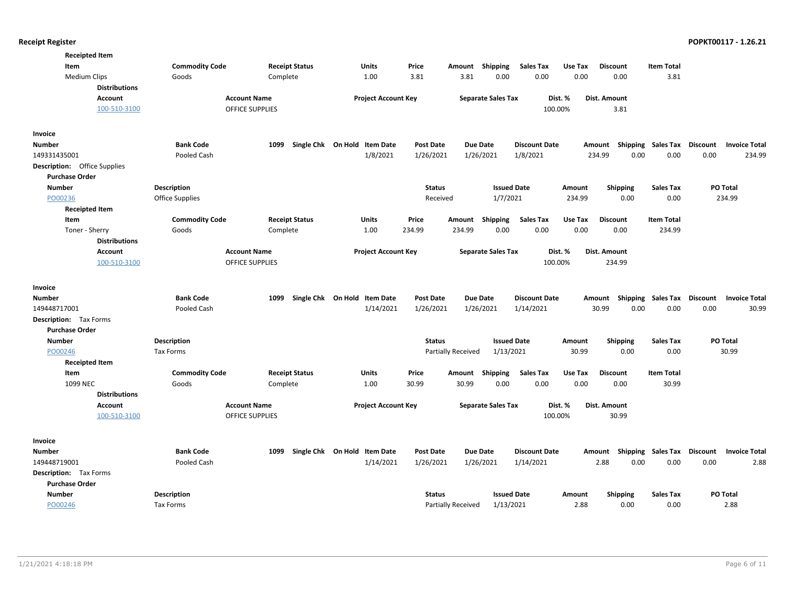| <b>Receipted Item</b>               |                       |                        |                                           |                               |                              |                           |                      |         |                           |                                   |                                         |
|-------------------------------------|-----------------------|------------------------|-------------------------------------------|-------------------------------|------------------------------|---------------------------|----------------------|---------|---------------------------|-----------------------------------|-----------------------------------------|
| Item                                | <b>Commodity Code</b> | <b>Receipt Status</b>  | <b>Units</b>                              | Price                         | Amount                       | Shipping                  | <b>Sales Tax</b>     | Use Tax | <b>Discount</b>           | <b>Item Total</b>                 |                                         |
| <b>Medium Clips</b>                 | Goods                 | Complete               | 1.00                                      | 3.81                          | 3.81                         | 0.00                      | 0.00                 | 0.00    | 0.00                      | 3.81                              |                                         |
| <b>Distributions</b>                |                       |                        |                                           |                               |                              |                           |                      |         |                           |                                   |                                         |
| <b>Account</b>                      | <b>Account Name</b>   |                        | <b>Project Account Key</b>                |                               |                              | <b>Separate Sales Tax</b> |                      | Dist. % | Dist. Amount              |                                   |                                         |
| 100-510-3100                        |                       | <b>OFFICE SUPPLIES</b> |                                           |                               |                              |                           |                      | 100.00% | 3.81                      |                                   |                                         |
| Invoice                             |                       |                        |                                           |                               |                              |                           |                      |         |                           |                                   |                                         |
| <b>Number</b>                       | <b>Bank Code</b>      | 1099                   | Single Chk On Hold Item Date              | <b>Post Date</b>              | <b>Due Date</b>              |                           | <b>Discount Date</b> |         | Amount Shipping Sales Tax |                                   | Discount<br><b>Invoice Total</b>        |
| 149331435001                        | Pooled Cash           |                        | 1/8/2021                                  | 1/26/2021                     | 1/26/2021                    |                           | 1/8/2021             |         | 0.00<br>234.99            | 0.00                              | 0.00<br>234.99                          |
| <b>Description:</b> Office Supplies |                       |                        |                                           |                               |                              |                           |                      |         |                           |                                   |                                         |
| <b>Purchase Order</b>               |                       |                        |                                           |                               |                              |                           |                      |         |                           |                                   |                                         |
| <b>Number</b>                       | <b>Description</b>    |                        |                                           | <b>Status</b>                 |                              | <b>Issued Date</b>        |                      | Amount  | <b>Shipping</b>           | <b>Sales Tax</b>                  | PO Total                                |
| PO00236                             | Office Supplies       |                        |                                           | Received                      |                              | 1/7/2021                  |                      | 234.99  | 0.00                      | 0.00                              | 234.99                                  |
| <b>Receipted Item</b>               |                       |                        |                                           |                               |                              |                           |                      |         |                           |                                   |                                         |
| Item                                | <b>Commodity Code</b> | <b>Receipt Status</b>  | Units                                     | Price                         | Amount                       | Shipping                  | <b>Sales Tax</b>     | Use Tax | <b>Discount</b>           | <b>Item Total</b>                 |                                         |
| Toner - Sherry                      | Goods                 | Complete               | 1.00                                      | 234.99                        | 234.99                       | 0.00                      | 0.00                 | 0.00    | 0.00                      | 234.99                            |                                         |
| <b>Distributions</b>                |                       |                        |                                           |                               |                              |                           |                      |         |                           |                                   |                                         |
| <b>Account</b>                      | <b>Account Name</b>   |                        | <b>Project Account Key</b>                |                               |                              | <b>Separate Sales Tax</b> |                      | Dist. % | Dist. Amount              |                                   |                                         |
| 100-510-3100                        |                       | <b>OFFICE SUPPLIES</b> |                                           |                               |                              |                           |                      | 100.00% | 234.99                    |                                   |                                         |
| Invoice                             |                       |                        |                                           |                               |                              |                           |                      |         |                           |                                   |                                         |
| <b>Number</b>                       | <b>Bank Code</b>      | 1099                   | Single Chk On Hold Item Date              | <b>Post Date</b>              | <b>Due Date</b>              |                           | <b>Discount Date</b> |         | Amount<br>Shipping        | <b>Sales Tax</b>                  | <b>Discount</b><br><b>Invoice Total</b> |
| 149448717001                        | Pooled Cash           |                        | 1/14/2021                                 | 1/26/2021                     | 1/26/2021                    |                           | 1/14/2021            |         | 30.99<br>0.00             | 0.00                              | 0.00<br>30.99                           |
| <b>Description:</b> Tax Forms       |                       |                        |                                           |                               |                              |                           |                      |         |                           |                                   |                                         |
| <b>Purchase Order</b>               |                       |                        |                                           |                               |                              |                           |                      |         |                           |                                   |                                         |
| <b>Number</b>                       | Description           |                        |                                           | <b>Status</b>                 |                              | <b>Issued Date</b>        |                      | Amount  | Shipping                  | <b>Sales Tax</b>                  | PO Total                                |
| PO00246                             | Tax Forms             |                        |                                           |                               | Partially Received           | 1/13/2021                 |                      | 30.99   | 0.00                      | 0.00                              | 30.99                                   |
| <b>Receipted Item</b>               |                       |                        |                                           |                               |                              |                           |                      |         |                           |                                   |                                         |
| Item                                | <b>Commodity Code</b> | <b>Receipt Status</b>  | <b>Units</b>                              | Price                         | Amount                       | Shipping                  | <b>Sales Tax</b>     | Use Tax | <b>Discount</b>           | <b>Item Total</b>                 |                                         |
| 1099 NEC                            | Goods                 | Complete               | 1.00                                      | 30.99                         | 30.99                        | 0.00                      | 0.00                 | 0.00    | 0.00                      | 30.99                             |                                         |
| <b>Distributions</b>                |                       |                        |                                           |                               |                              |                           |                      |         |                           |                                   |                                         |
| <b>Account</b>                      | <b>Account Name</b>   |                        | <b>Project Account Key</b>                |                               |                              | <b>Separate Sales Tax</b> |                      | Dist. % | Dist. Amount              |                                   |                                         |
| 100-510-3100                        |                       | <b>OFFICE SUPPLIES</b> |                                           |                               |                              |                           |                      | 100.00% | 30.99                     |                                   |                                         |
|                                     |                       |                        |                                           |                               |                              |                           |                      |         |                           |                                   |                                         |
| Invoice                             | <b>Bank Code</b>      |                        |                                           |                               |                              |                           | <b>Discount Date</b> |         |                           |                                   | <b>Invoice Total</b>                    |
| <b>Number</b><br>149448719001       | Pooled Cash           | 1099                   | Single Chk On Hold Item Date<br>1/14/2021 | <b>Post Date</b><br>1/26/2021 | <b>Due Date</b><br>1/26/2021 |                           | 1/14/2021            |         | Amount<br>2.88<br>0.00    | <b>Shipping Sales Tax</b><br>0.00 | <b>Discount</b><br>0.00<br>2.88         |
| <b>Description:</b> Tax Forms       |                       |                        |                                           |                               |                              |                           |                      |         |                           |                                   |                                         |
| <b>Purchase Order</b>               |                       |                        |                                           |                               |                              |                           |                      |         |                           |                                   |                                         |
| <b>Number</b>                       | <b>Description</b>    |                        |                                           | <b>Status</b>                 |                              | <b>Issued Date</b>        |                      | Amount  | <b>Shipping</b>           | <b>Sales Tax</b>                  | PO Total                                |
| PO00246                             | Tax Forms             |                        |                                           |                               | Partially Received           | 1/13/2021                 |                      | 2.88    | 0.00                      | 0.00                              | 2.88                                    |
|                                     |                       |                        |                                           |                               |                              |                           |                      |         |                           |                                   |                                         |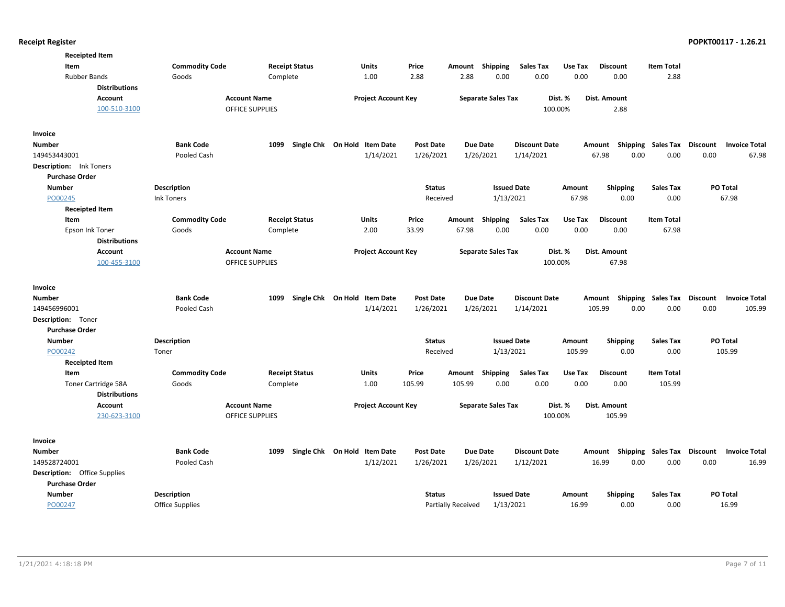| <b>Commodity Code</b><br><b>Receipt Status</b><br>Item<br><b>Units</b><br>Price<br><b>Shipping</b><br><b>Sales Tax</b><br>Use Tax<br><b>Discount</b><br><b>Item Total</b><br>Amount<br>0.00<br><b>Rubber Bands</b><br>Goods<br>1.00<br>2.88<br>0.00<br>0.00<br>0.00<br>2.88<br>Complete<br>2.88<br><b>Distributions</b><br><b>Account Name</b><br><b>Separate Sales Tax</b><br><b>Account</b><br><b>Project Account Key</b><br>Dist. %<br>Dist. Amount<br>100-510-3100<br><b>OFFICE SUPPLIES</b><br>100.00%<br>2.88<br>Invoice<br><b>Bank Code</b><br>Single Chk On Hold Item Date<br>Amount Shipping Sales Tax Discount<br><b>Number</b><br>1099<br><b>Post Date</b><br><b>Due Date</b><br><b>Discount Date</b><br><b>Invoice Total</b><br>149453443001<br>Pooled Cash<br>1/14/2021<br>1/26/2021<br>1/26/2021<br>1/14/2021<br>67.98<br>0.00<br>0.00<br>0.00<br>67.98<br><b>Description:</b> Ink Toners<br><b>Purchase Order</b><br>Description<br><b>Issued Date</b><br>PO Total<br><b>Number</b><br><b>Status</b><br>Amount<br><b>Shipping</b><br><b>Sales Tax</b><br>PO00245<br><b>Ink Toners</b><br>Received<br>1/13/2021<br>67.98<br>0.00<br>0.00<br>67.98<br><b>Receipted Item</b><br><b>Commodity Code</b><br><b>Receipt Status</b><br>Units<br>Price<br>Shipping<br><b>Sales Tax</b><br>Use Tax<br><b>Discount</b><br><b>Item Total</b><br>Item<br>Amount<br>0.00<br>0.00<br>0.00<br>67.98<br>Epson Ink Toner<br>Complete<br>2.00<br>33.99<br>67.98<br>0.00<br>Goods<br><b>Distributions</b><br><b>Account Name</b><br><b>Project Account Key</b><br><b>Separate Sales Tax</b><br>Dist. %<br><b>Account</b><br>Dist. Amount<br><b>OFFICE SUPPLIES</b><br>100.00%<br>67.98<br>100-455-3100<br>Invoice<br><b>Bank Code</b><br>Single Chk On Hold Item Date<br><b>Discount Date</b><br><b>Sales Tax</b><br><b>Discount</b><br><b>Number</b><br>1099<br><b>Post Date</b><br><b>Due Date</b><br>Shipping<br><b>Invoice Total</b><br>Amount<br>0.00<br>149456996001<br>Pooled Cash<br>1/14/2021<br>1/26/2021<br>1/26/2021<br>1/14/2021<br>105.99<br>0.00<br>0.00<br>105.99<br>Description: Toner<br><b>Purchase Order</b><br><b>Number</b><br><b>Description</b><br><b>Status</b><br><b>Issued Date</b><br><b>Shipping</b><br><b>Sales Tax</b><br>PO Total<br>Amount | <b>Receipted Item</b> |  |  |  |  |  |  |
|------------------------------------------------------------------------------------------------------------------------------------------------------------------------------------------------------------------------------------------------------------------------------------------------------------------------------------------------------------------------------------------------------------------------------------------------------------------------------------------------------------------------------------------------------------------------------------------------------------------------------------------------------------------------------------------------------------------------------------------------------------------------------------------------------------------------------------------------------------------------------------------------------------------------------------------------------------------------------------------------------------------------------------------------------------------------------------------------------------------------------------------------------------------------------------------------------------------------------------------------------------------------------------------------------------------------------------------------------------------------------------------------------------------------------------------------------------------------------------------------------------------------------------------------------------------------------------------------------------------------------------------------------------------------------------------------------------------------------------------------------------------------------------------------------------------------------------------------------------------------------------------------------------------------------------------------------------------------------------------------------------------------------------------------------------------------------------------------------------------------------------------------------------------------------------------------------------------------------------------------------------------------|-----------------------|--|--|--|--|--|--|
|                                                                                                                                                                                                                                                                                                                                                                                                                                                                                                                                                                                                                                                                                                                                                                                                                                                                                                                                                                                                                                                                                                                                                                                                                                                                                                                                                                                                                                                                                                                                                                                                                                                                                                                                                                                                                                                                                                                                                                                                                                                                                                                                                                                                                                                                        |                       |  |  |  |  |  |  |
|                                                                                                                                                                                                                                                                                                                                                                                                                                                                                                                                                                                                                                                                                                                                                                                                                                                                                                                                                                                                                                                                                                                                                                                                                                                                                                                                                                                                                                                                                                                                                                                                                                                                                                                                                                                                                                                                                                                                                                                                                                                                                                                                                                                                                                                                        |                       |  |  |  |  |  |  |
|                                                                                                                                                                                                                                                                                                                                                                                                                                                                                                                                                                                                                                                                                                                                                                                                                                                                                                                                                                                                                                                                                                                                                                                                                                                                                                                                                                                                                                                                                                                                                                                                                                                                                                                                                                                                                                                                                                                                                                                                                                                                                                                                                                                                                                                                        |                       |  |  |  |  |  |  |
|                                                                                                                                                                                                                                                                                                                                                                                                                                                                                                                                                                                                                                                                                                                                                                                                                                                                                                                                                                                                                                                                                                                                                                                                                                                                                                                                                                                                                                                                                                                                                                                                                                                                                                                                                                                                                                                                                                                                                                                                                                                                                                                                                                                                                                                                        |                       |  |  |  |  |  |  |
|                                                                                                                                                                                                                                                                                                                                                                                                                                                                                                                                                                                                                                                                                                                                                                                                                                                                                                                                                                                                                                                                                                                                                                                                                                                                                                                                                                                                                                                                                                                                                                                                                                                                                                                                                                                                                                                                                                                                                                                                                                                                                                                                                                                                                                                                        |                       |  |  |  |  |  |  |
|                                                                                                                                                                                                                                                                                                                                                                                                                                                                                                                                                                                                                                                                                                                                                                                                                                                                                                                                                                                                                                                                                                                                                                                                                                                                                                                                                                                                                                                                                                                                                                                                                                                                                                                                                                                                                                                                                                                                                                                                                                                                                                                                                                                                                                                                        |                       |  |  |  |  |  |  |
|                                                                                                                                                                                                                                                                                                                                                                                                                                                                                                                                                                                                                                                                                                                                                                                                                                                                                                                                                                                                                                                                                                                                                                                                                                                                                                                                                                                                                                                                                                                                                                                                                                                                                                                                                                                                                                                                                                                                                                                                                                                                                                                                                                                                                                                                        |                       |  |  |  |  |  |  |
|                                                                                                                                                                                                                                                                                                                                                                                                                                                                                                                                                                                                                                                                                                                                                                                                                                                                                                                                                                                                                                                                                                                                                                                                                                                                                                                                                                                                                                                                                                                                                                                                                                                                                                                                                                                                                                                                                                                                                                                                                                                                                                                                                                                                                                                                        |                       |  |  |  |  |  |  |
|                                                                                                                                                                                                                                                                                                                                                                                                                                                                                                                                                                                                                                                                                                                                                                                                                                                                                                                                                                                                                                                                                                                                                                                                                                                                                                                                                                                                                                                                                                                                                                                                                                                                                                                                                                                                                                                                                                                                                                                                                                                                                                                                                                                                                                                                        |                       |  |  |  |  |  |  |
|                                                                                                                                                                                                                                                                                                                                                                                                                                                                                                                                                                                                                                                                                                                                                                                                                                                                                                                                                                                                                                                                                                                                                                                                                                                                                                                                                                                                                                                                                                                                                                                                                                                                                                                                                                                                                                                                                                                                                                                                                                                                                                                                                                                                                                                                        |                       |  |  |  |  |  |  |
|                                                                                                                                                                                                                                                                                                                                                                                                                                                                                                                                                                                                                                                                                                                                                                                                                                                                                                                                                                                                                                                                                                                                                                                                                                                                                                                                                                                                                                                                                                                                                                                                                                                                                                                                                                                                                                                                                                                                                                                                                                                                                                                                                                                                                                                                        |                       |  |  |  |  |  |  |
|                                                                                                                                                                                                                                                                                                                                                                                                                                                                                                                                                                                                                                                                                                                                                                                                                                                                                                                                                                                                                                                                                                                                                                                                                                                                                                                                                                                                                                                                                                                                                                                                                                                                                                                                                                                                                                                                                                                                                                                                                                                                                                                                                                                                                                                                        |                       |  |  |  |  |  |  |
|                                                                                                                                                                                                                                                                                                                                                                                                                                                                                                                                                                                                                                                                                                                                                                                                                                                                                                                                                                                                                                                                                                                                                                                                                                                                                                                                                                                                                                                                                                                                                                                                                                                                                                                                                                                                                                                                                                                                                                                                                                                                                                                                                                                                                                                                        |                       |  |  |  |  |  |  |
|                                                                                                                                                                                                                                                                                                                                                                                                                                                                                                                                                                                                                                                                                                                                                                                                                                                                                                                                                                                                                                                                                                                                                                                                                                                                                                                                                                                                                                                                                                                                                                                                                                                                                                                                                                                                                                                                                                                                                                                                                                                                                                                                                                                                                                                                        |                       |  |  |  |  |  |  |
|                                                                                                                                                                                                                                                                                                                                                                                                                                                                                                                                                                                                                                                                                                                                                                                                                                                                                                                                                                                                                                                                                                                                                                                                                                                                                                                                                                                                                                                                                                                                                                                                                                                                                                                                                                                                                                                                                                                                                                                                                                                                                                                                                                                                                                                                        |                       |  |  |  |  |  |  |
|                                                                                                                                                                                                                                                                                                                                                                                                                                                                                                                                                                                                                                                                                                                                                                                                                                                                                                                                                                                                                                                                                                                                                                                                                                                                                                                                                                                                                                                                                                                                                                                                                                                                                                                                                                                                                                                                                                                                                                                                                                                                                                                                                                                                                                                                        |                       |  |  |  |  |  |  |
|                                                                                                                                                                                                                                                                                                                                                                                                                                                                                                                                                                                                                                                                                                                                                                                                                                                                                                                                                                                                                                                                                                                                                                                                                                                                                                                                                                                                                                                                                                                                                                                                                                                                                                                                                                                                                                                                                                                                                                                                                                                                                                                                                                                                                                                                        |                       |  |  |  |  |  |  |
|                                                                                                                                                                                                                                                                                                                                                                                                                                                                                                                                                                                                                                                                                                                                                                                                                                                                                                                                                                                                                                                                                                                                                                                                                                                                                                                                                                                                                                                                                                                                                                                                                                                                                                                                                                                                                                                                                                                                                                                                                                                                                                                                                                                                                                                                        |                       |  |  |  |  |  |  |
|                                                                                                                                                                                                                                                                                                                                                                                                                                                                                                                                                                                                                                                                                                                                                                                                                                                                                                                                                                                                                                                                                                                                                                                                                                                                                                                                                                                                                                                                                                                                                                                                                                                                                                                                                                                                                                                                                                                                                                                                                                                                                                                                                                                                                                                                        |                       |  |  |  |  |  |  |
|                                                                                                                                                                                                                                                                                                                                                                                                                                                                                                                                                                                                                                                                                                                                                                                                                                                                                                                                                                                                                                                                                                                                                                                                                                                                                                                                                                                                                                                                                                                                                                                                                                                                                                                                                                                                                                                                                                                                                                                                                                                                                                                                                                                                                                                                        |                       |  |  |  |  |  |  |
|                                                                                                                                                                                                                                                                                                                                                                                                                                                                                                                                                                                                                                                                                                                                                                                                                                                                                                                                                                                                                                                                                                                                                                                                                                                                                                                                                                                                                                                                                                                                                                                                                                                                                                                                                                                                                                                                                                                                                                                                                                                                                                                                                                                                                                                                        |                       |  |  |  |  |  |  |
|                                                                                                                                                                                                                                                                                                                                                                                                                                                                                                                                                                                                                                                                                                                                                                                                                                                                                                                                                                                                                                                                                                                                                                                                                                                                                                                                                                                                                                                                                                                                                                                                                                                                                                                                                                                                                                                                                                                                                                                                                                                                                                                                                                                                                                                                        |                       |  |  |  |  |  |  |
|                                                                                                                                                                                                                                                                                                                                                                                                                                                                                                                                                                                                                                                                                                                                                                                                                                                                                                                                                                                                                                                                                                                                                                                                                                                                                                                                                                                                                                                                                                                                                                                                                                                                                                                                                                                                                                                                                                                                                                                                                                                                                                                                                                                                                                                                        |                       |  |  |  |  |  |  |
|                                                                                                                                                                                                                                                                                                                                                                                                                                                                                                                                                                                                                                                                                                                                                                                                                                                                                                                                                                                                                                                                                                                                                                                                                                                                                                                                                                                                                                                                                                                                                                                                                                                                                                                                                                                                                                                                                                                                                                                                                                                                                                                                                                                                                                                                        |                       |  |  |  |  |  |  |
|                                                                                                                                                                                                                                                                                                                                                                                                                                                                                                                                                                                                                                                                                                                                                                                                                                                                                                                                                                                                                                                                                                                                                                                                                                                                                                                                                                                                                                                                                                                                                                                                                                                                                                                                                                                                                                                                                                                                                                                                                                                                                                                                                                                                                                                                        |                       |  |  |  |  |  |  |
|                                                                                                                                                                                                                                                                                                                                                                                                                                                                                                                                                                                                                                                                                                                                                                                                                                                                                                                                                                                                                                                                                                                                                                                                                                                                                                                                                                                                                                                                                                                                                                                                                                                                                                                                                                                                                                                                                                                                                                                                                                                                                                                                                                                                                                                                        |                       |  |  |  |  |  |  |
| 1/13/2021<br>0.00<br>105.99<br>PO00242<br>Toner<br>Received<br>105.99<br>0.00                                                                                                                                                                                                                                                                                                                                                                                                                                                                                                                                                                                                                                                                                                                                                                                                                                                                                                                                                                                                                                                                                                                                                                                                                                                                                                                                                                                                                                                                                                                                                                                                                                                                                                                                                                                                                                                                                                                                                                                                                                                                                                                                                                                          |                       |  |  |  |  |  |  |
| <b>Receipted Item</b>                                                                                                                                                                                                                                                                                                                                                                                                                                                                                                                                                                                                                                                                                                                                                                                                                                                                                                                                                                                                                                                                                                                                                                                                                                                                                                                                                                                                                                                                                                                                                                                                                                                                                                                                                                                                                                                                                                                                                                                                                                                                                                                                                                                                                                                  |                       |  |  |  |  |  |  |
| Item<br><b>Commodity Code</b><br><b>Receipt Status</b><br>Price<br>Shipping<br><b>Sales Tax</b><br>Use Tax<br><b>Item Total</b><br>Units<br>Amount<br><b>Discount</b>                                                                                                                                                                                                                                                                                                                                                                                                                                                                                                                                                                                                                                                                                                                                                                                                                                                                                                                                                                                                                                                                                                                                                                                                                                                                                                                                                                                                                                                                                                                                                                                                                                                                                                                                                                                                                                                                                                                                                                                                                                                                                                  |                       |  |  |  |  |  |  |
| 105.99<br><b>Toner Cartridge 58A</b><br>Goods<br>1.00<br>105.99<br>105.99<br>0.00<br>0.00<br>0.00<br>0.00<br>Complete                                                                                                                                                                                                                                                                                                                                                                                                                                                                                                                                                                                                                                                                                                                                                                                                                                                                                                                                                                                                                                                                                                                                                                                                                                                                                                                                                                                                                                                                                                                                                                                                                                                                                                                                                                                                                                                                                                                                                                                                                                                                                                                                                  |                       |  |  |  |  |  |  |
| <b>Distributions</b>                                                                                                                                                                                                                                                                                                                                                                                                                                                                                                                                                                                                                                                                                                                                                                                                                                                                                                                                                                                                                                                                                                                                                                                                                                                                                                                                                                                                                                                                                                                                                                                                                                                                                                                                                                                                                                                                                                                                                                                                                                                                                                                                                                                                                                                   |                       |  |  |  |  |  |  |
| Account<br><b>Account Name</b><br><b>Project Account Key</b><br><b>Separate Sales Tax</b><br>Dist. %<br>Dist. Amount                                                                                                                                                                                                                                                                                                                                                                                                                                                                                                                                                                                                                                                                                                                                                                                                                                                                                                                                                                                                                                                                                                                                                                                                                                                                                                                                                                                                                                                                                                                                                                                                                                                                                                                                                                                                                                                                                                                                                                                                                                                                                                                                                   |                       |  |  |  |  |  |  |
| 230-623-3100<br><b>OFFICE SUPPLIES</b><br>100.00%<br>105.99                                                                                                                                                                                                                                                                                                                                                                                                                                                                                                                                                                                                                                                                                                                                                                                                                                                                                                                                                                                                                                                                                                                                                                                                                                                                                                                                                                                                                                                                                                                                                                                                                                                                                                                                                                                                                                                                                                                                                                                                                                                                                                                                                                                                            |                       |  |  |  |  |  |  |
|                                                                                                                                                                                                                                                                                                                                                                                                                                                                                                                                                                                                                                                                                                                                                                                                                                                                                                                                                                                                                                                                                                                                                                                                                                                                                                                                                                                                                                                                                                                                                                                                                                                                                                                                                                                                                                                                                                                                                                                                                                                                                                                                                                                                                                                                        |                       |  |  |  |  |  |  |
| <b>Invoice</b>                                                                                                                                                                                                                                                                                                                                                                                                                                                                                                                                                                                                                                                                                                                                                                                                                                                                                                                                                                                                                                                                                                                                                                                                                                                                                                                                                                                                                                                                                                                                                                                                                                                                                                                                                                                                                                                                                                                                                                                                                                                                                                                                                                                                                                                         |                       |  |  |  |  |  |  |
| <b>Bank Code</b><br>Single Chk On Hold Item Date<br><b>Discount Date</b><br>Amount Shipping<br><b>Sales Tax</b><br><b>Discount</b><br><b>Number</b><br>1099<br><b>Post Date</b><br><b>Due Date</b><br><b>Invoice Total</b>                                                                                                                                                                                                                                                                                                                                                                                                                                                                                                                                                                                                                                                                                                                                                                                                                                                                                                                                                                                                                                                                                                                                                                                                                                                                                                                                                                                                                                                                                                                                                                                                                                                                                                                                                                                                                                                                                                                                                                                                                                             |                       |  |  |  |  |  |  |
| 149528724001<br>1/12/2021<br>1/26/2021<br>16.99<br>0.00<br>0.00<br>16.99<br>Pooled Cash<br>1/26/2021<br>1/12/2021<br>0.00                                                                                                                                                                                                                                                                                                                                                                                                                                                                                                                                                                                                                                                                                                                                                                                                                                                                                                                                                                                                                                                                                                                                                                                                                                                                                                                                                                                                                                                                                                                                                                                                                                                                                                                                                                                                                                                                                                                                                                                                                                                                                                                                              |                       |  |  |  |  |  |  |
| <b>Description:</b> Office Supplies                                                                                                                                                                                                                                                                                                                                                                                                                                                                                                                                                                                                                                                                                                                                                                                                                                                                                                                                                                                                                                                                                                                                                                                                                                                                                                                                                                                                                                                                                                                                                                                                                                                                                                                                                                                                                                                                                                                                                                                                                                                                                                                                                                                                                                    |                       |  |  |  |  |  |  |
| <b>Purchase Order</b>                                                                                                                                                                                                                                                                                                                                                                                                                                                                                                                                                                                                                                                                                                                                                                                                                                                                                                                                                                                                                                                                                                                                                                                                                                                                                                                                                                                                                                                                                                                                                                                                                                                                                                                                                                                                                                                                                                                                                                                                                                                                                                                                                                                                                                                  |                       |  |  |  |  |  |  |
| PO Total<br><b>Number</b><br><b>Description</b><br><b>Status</b><br><b>Issued Date</b><br><b>Shipping</b><br><b>Sales Tax</b><br>Amount                                                                                                                                                                                                                                                                                                                                                                                                                                                                                                                                                                                                                                                                                                                                                                                                                                                                                                                                                                                                                                                                                                                                                                                                                                                                                                                                                                                                                                                                                                                                                                                                                                                                                                                                                                                                                                                                                                                                                                                                                                                                                                                                |                       |  |  |  |  |  |  |
| PO00247<br>1/13/2021<br>16.99<br>0.00<br>16.99<br>Office Supplies<br><b>Partially Received</b><br>0.00                                                                                                                                                                                                                                                                                                                                                                                                                                                                                                                                                                                                                                                                                                                                                                                                                                                                                                                                                                                                                                                                                                                                                                                                                                                                                                                                                                                                                                                                                                                                                                                                                                                                                                                                                                                                                                                                                                                                                                                                                                                                                                                                                                 |                       |  |  |  |  |  |  |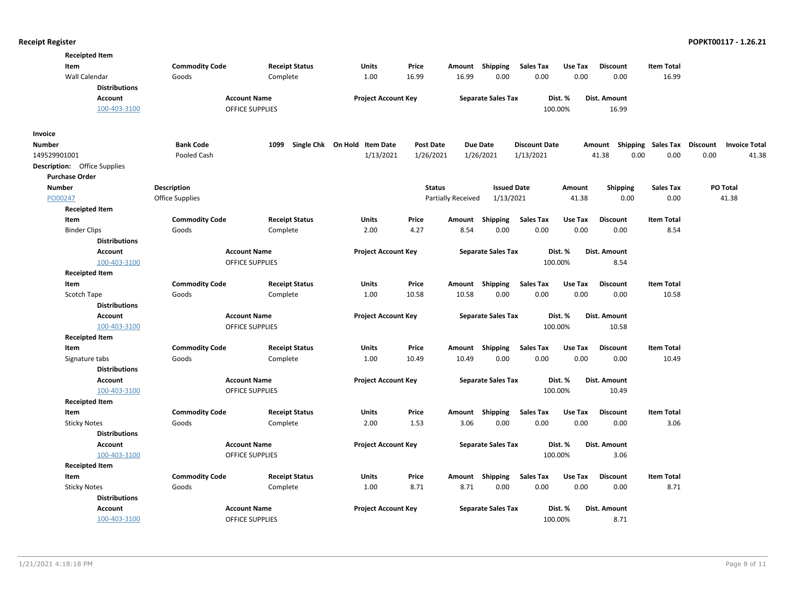| <b>Receipted Item</b>               |                       |                        |                              |                  |                    |                           |                      |         |                     |                    |                                  |
|-------------------------------------|-----------------------|------------------------|------------------------------|------------------|--------------------|---------------------------|----------------------|---------|---------------------|--------------------|----------------------------------|
| Item                                | <b>Commodity Code</b> | <b>Receipt Status</b>  | <b>Units</b>                 | Price            | Amount Shipping    |                           | <b>Sales Tax</b>     | Use Tax | <b>Discount</b>     | <b>Item Total</b>  |                                  |
| Wall Calendar                       | Goods                 | Complete               | 1.00                         | 16.99            | 16.99              | 0.00                      | 0.00                 | 0.00    | 0.00                | 16.99              |                                  |
| <b>Distributions</b>                |                       |                        |                              |                  |                    |                           |                      |         |                     |                    |                                  |
| <b>Account</b>                      |                       | <b>Account Name</b>    | <b>Project Account Key</b>   |                  |                    | <b>Separate Sales Tax</b> |                      | Dist. % | Dist. Amount        |                    |                                  |
| 100-403-3100                        |                       | <b>OFFICE SUPPLIES</b> |                              |                  |                    |                           |                      | 100.00% | 16.99               |                    |                                  |
| Invoice                             |                       |                        |                              |                  |                    |                           |                      |         |                     |                    |                                  |
| <b>Number</b>                       | <b>Bank Code</b>      | 1099                   | Single Chk On Hold Item Date | <b>Post Date</b> | <b>Due Date</b>    |                           | <b>Discount Date</b> |         | Amount              | Shipping Sales Tax | Discount<br><b>Invoice Total</b> |
| 149529901001                        | Pooled Cash           |                        | 1/13/2021                    | 1/26/2021        |                    | 1/26/2021                 | 1/13/2021            |         | 0.00<br>41.38       | 0.00               | 0.00<br>41.38                    |
| <b>Description:</b> Office Supplies |                       |                        |                              |                  |                    |                           |                      |         |                     |                    |                                  |
| <b>Purchase Order</b>               |                       |                        |                              |                  |                    |                           |                      |         |                     |                    |                                  |
| <b>Number</b>                       | <b>Description</b>    |                        |                              | <b>Status</b>    |                    | <b>Issued Date</b>        |                      | Amount  | <b>Shipping</b>     | <b>Sales Tax</b>   | PO Total                         |
| PO00247                             | Office Supplies       |                        |                              |                  | Partially Received | 1/13/2021                 |                      | 41.38   | 0.00                | 0.00               | 41.38                            |
| <b>Receipted Item</b>               |                       |                        |                              |                  |                    |                           |                      |         |                     |                    |                                  |
| Item                                | <b>Commodity Code</b> | <b>Receipt Status</b>  | Units                        | Price            | Amount             | Shipping                  | <b>Sales Tax</b>     | Use Tax | <b>Discount</b>     | <b>Item Total</b>  |                                  |
| <b>Binder Clips</b>                 | Goods                 | Complete               | 2.00                         | 4.27             | 8.54               | 0.00                      | 0.00                 | 0.00    | 0.00                | 8.54               |                                  |
| <b>Distributions</b>                |                       |                        |                              |                  |                    |                           |                      |         |                     |                    |                                  |
| <b>Account</b>                      |                       | <b>Account Name</b>    | <b>Project Account Key</b>   |                  |                    | <b>Separate Sales Tax</b> |                      | Dist. % | <b>Dist. Amount</b> |                    |                                  |
| 100-403-3100                        |                       | <b>OFFICE SUPPLIES</b> |                              |                  |                    |                           |                      | 100.00% | 8.54                |                    |                                  |
| <b>Receipted Item</b>               |                       |                        |                              |                  |                    |                           |                      |         |                     |                    |                                  |
| Item                                | <b>Commodity Code</b> | <b>Receipt Status</b>  | <b>Units</b>                 | Price            | Amount             | Shipping                  | <b>Sales Tax</b>     | Use Tax | <b>Discount</b>     | <b>Item Total</b>  |                                  |
| Scotch Tape                         | Goods                 | Complete               | 1.00                         | 10.58            | 10.58              | 0.00                      | 0.00                 | 0.00    | 0.00                | 10.58              |                                  |
| <b>Distributions</b>                |                       |                        |                              |                  |                    |                           |                      |         |                     |                    |                                  |
| <b>Account</b>                      |                       | <b>Account Name</b>    | <b>Project Account Key</b>   |                  |                    | <b>Separate Sales Tax</b> |                      | Dist. % | Dist. Amount        |                    |                                  |
| 100-403-3100                        |                       | <b>OFFICE SUPPLIES</b> |                              |                  |                    |                           |                      | 100.00% | 10.58               |                    |                                  |
| <b>Receipted Item</b>               |                       |                        |                              |                  |                    |                           |                      |         |                     |                    |                                  |
| Item                                | <b>Commodity Code</b> | <b>Receipt Status</b>  | Units                        | Price            | Amount             | Shipping                  | <b>Sales Tax</b>     | Use Tax | <b>Discount</b>     | <b>Item Total</b>  |                                  |
| Signature tabs                      | Goods                 | Complete               | 1.00                         | 10.49            | 10.49              | 0.00                      | 0.00                 | 0.00    | 0.00                | 10.49              |                                  |
| <b>Distributions</b>                |                       |                        |                              |                  |                    |                           |                      |         |                     |                    |                                  |
| <b>Account</b>                      |                       | <b>Account Name</b>    | <b>Project Account Key</b>   |                  |                    | <b>Separate Sales Tax</b> |                      | Dist. % | Dist. Amount        |                    |                                  |
| 100-403-3100                        |                       | <b>OFFICE SUPPLIES</b> |                              |                  |                    |                           |                      | 100.00% | 10.49               |                    |                                  |
| <b>Receipted Item</b>               |                       |                        |                              |                  |                    |                           |                      |         |                     |                    |                                  |
| Item                                | <b>Commodity Code</b> | <b>Receipt Status</b>  | <b>Units</b>                 | Price            | Amount Shipping    |                           | <b>Sales Tax</b>     | Use Tax | <b>Discount</b>     | <b>Item Total</b>  |                                  |
| <b>Sticky Notes</b>                 | Goods                 | Complete               | 2.00                         | 1.53             | 3.06               | 0.00                      | 0.00                 | 0.00    | 0.00                | 3.06               |                                  |
| <b>Distributions</b>                |                       |                        |                              |                  |                    |                           |                      |         |                     |                    |                                  |
| Account                             |                       | <b>Account Name</b>    | <b>Project Account Key</b>   |                  |                    | <b>Separate Sales Tax</b> |                      | Dist. % | Dist. Amount        |                    |                                  |
| 100-403-3100                        |                       | <b>OFFICE SUPPLIES</b> |                              |                  |                    |                           |                      | 100.00% | 3.06                |                    |                                  |
| <b>Receipted Item</b>               |                       |                        |                              |                  |                    |                           |                      |         |                     |                    |                                  |
| Item                                | <b>Commodity Code</b> | <b>Receipt Status</b>  | Units                        | Price            | Amount Shipping    |                           | <b>Sales Tax</b>     | Use Tax | <b>Discount</b>     | <b>Item Total</b>  |                                  |
| <b>Sticky Notes</b>                 | Goods                 | Complete               | 1.00                         | 8.71             | 8.71               | 0.00                      | 0.00                 | 0.00    | 0.00                | 8.71               |                                  |
| <b>Distributions</b>                |                       |                        |                              |                  |                    |                           |                      |         |                     |                    |                                  |
| Account                             |                       | <b>Account Name</b>    | <b>Project Account Key</b>   |                  |                    | <b>Separate Sales Tax</b> |                      | Dist. % | Dist. Amount        |                    |                                  |
| 100-403-3100                        |                       | <b>OFFICE SUPPLIES</b> |                              |                  |                    |                           |                      | 100.00% | 8.71                |                    |                                  |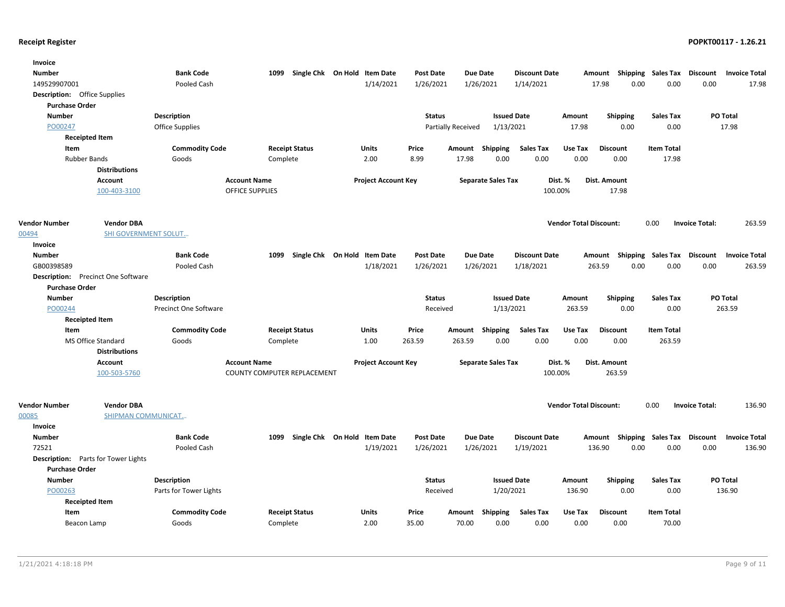| <b>Invoice</b>                      |                                           |                              |                             |                       |                              |                  |                    |                           |                      |                               |                           |                    |                       |                      |
|-------------------------------------|-------------------------------------------|------------------------------|-----------------------------|-----------------------|------------------------------|------------------|--------------------|---------------------------|----------------------|-------------------------------|---------------------------|--------------------|-----------------------|----------------------|
| <b>Number</b>                       |                                           | <b>Bank Code</b>             | 1099                        |                       | Single Chk On Hold Item Date | <b>Post Date</b> | <b>Due Date</b>    |                           | <b>Discount Date</b> |                               | Amount                    | Shipping Sales Tax | Discount              | <b>Invoice Total</b> |
| 149529907001                        |                                           | Pooled Cash                  |                             |                       | 1/14/2021                    | 1/26/2021        | 1/26/2021          |                           | 1/14/2021            |                               | 17.98<br>0.00             | 0.00               | 0.00                  | 17.98                |
| <b>Description:</b> Office Supplies |                                           |                              |                             |                       |                              |                  |                    |                           |                      |                               |                           |                    |                       |                      |
| <b>Purchase Order</b>               |                                           |                              |                             |                       |                              |                  |                    |                           |                      |                               |                           |                    |                       |                      |
| <b>Number</b>                       |                                           | <b>Description</b>           |                             |                       |                              | <b>Status</b>    |                    | <b>Issued Date</b>        |                      | Amount                        | <b>Shipping</b>           | <b>Sales Tax</b>   |                       | PO Total             |
| PO00247                             |                                           | <b>Office Supplies</b>       |                             |                       |                              |                  | Partially Received | 1/13/2021                 |                      | 17.98                         | 0.00                      | 0.00               |                       | 17.98                |
|                                     | <b>Receipted Item</b>                     |                              |                             |                       |                              |                  |                    |                           |                      |                               |                           |                    |                       |                      |
| Item                                |                                           | <b>Commodity Code</b>        |                             | <b>Receipt Status</b> | Units                        | Price            | Amount             | Shipping                  | <b>Sales Tax</b>     | Use Tax                       | <b>Discount</b>           | <b>Item Total</b>  |                       |                      |
| <b>Rubber Bands</b>                 |                                           | Goods                        | Complete                    |                       | 2.00                         | 8.99             | 17.98              | 0.00                      | 0.00                 | 0.00                          | 0.00                      | 17.98              |                       |                      |
|                                     | <b>Distributions</b>                      |                              |                             |                       |                              |                  |                    |                           |                      |                               |                           |                    |                       |                      |
|                                     | Account                                   |                              | <b>Account Name</b>         |                       | <b>Project Account Key</b>   |                  |                    | <b>Separate Sales Tax</b> | Dist. %              |                               | Dist. Amount              |                    |                       |                      |
|                                     | 100-403-3100                              |                              | <b>OFFICE SUPPLIES</b>      |                       |                              |                  |                    |                           | 100.00%              |                               | 17.98                     |                    |                       |                      |
|                                     |                                           |                              |                             |                       |                              |                  |                    |                           |                      |                               |                           |                    |                       |                      |
|                                     |                                           |                              |                             |                       |                              |                  |                    |                           |                      |                               |                           |                    |                       |                      |
| <b>Vendor Number</b>                | <b>Vendor DBA</b>                         |                              |                             |                       |                              |                  |                    |                           |                      | <b>Vendor Total Discount:</b> |                           | 0.00               | <b>Invoice Total:</b> | 263.59               |
| 00494                               | <b>SHI GOVERNMENT SOLUT</b>               |                              |                             |                       |                              |                  |                    |                           |                      |                               |                           |                    |                       |                      |
| Invoice                             |                                           |                              |                             |                       |                              |                  |                    |                           |                      |                               |                           |                    |                       |                      |
| <b>Number</b>                       |                                           | <b>Bank Code</b>             | 1099                        |                       | Single Chk On Hold Item Date | <b>Post Date</b> | <b>Due Date</b>    |                           | <b>Discount Date</b> |                               | Amount Shipping Sales Tax |                    | <b>Discount</b>       | <b>Invoice Total</b> |
| GB00398589                          |                                           | Pooled Cash                  |                             |                       | 1/18/2021                    | 1/26/2021        | 1/26/2021          |                           | 1/18/2021            |                               | 263.59<br>0.00            | 0.00               | 0.00                  | 263.59               |
|                                     | <b>Description:</b> Precinct One Software |                              |                             |                       |                              |                  |                    |                           |                      |                               |                           |                    |                       |                      |
| <b>Purchase Order</b>               |                                           |                              |                             |                       |                              |                  |                    |                           |                      |                               |                           |                    |                       |                      |
| <b>Number</b>                       |                                           | <b>Description</b>           |                             |                       |                              | <b>Status</b>    |                    | <b>Issued Date</b>        |                      | Amount                        | <b>Shipping</b>           | <b>Sales Tax</b>   |                       | PO Total             |
| PO00244                             |                                           | <b>Precinct One Software</b> |                             |                       |                              | Received         |                    | 1/13/2021                 |                      | 263.59                        | 0.00                      | 0.00               |                       | 263.59               |
|                                     | <b>Receipted Item</b>                     |                              |                             |                       |                              |                  |                    |                           |                      |                               |                           |                    |                       |                      |
| Item                                |                                           | <b>Commodity Code</b>        |                             | <b>Receipt Status</b> | Units                        | Price            | Amount             | Shipping                  | <b>Sales Tax</b>     | Use Tax                       | <b>Discount</b>           | <b>Item Total</b>  |                       |                      |
|                                     | MS Office Standard                        | Goods                        | Complete                    |                       | 1.00                         | 263.59           | 263.59             | 0.00                      | 0.00                 | 0.00                          | 0.00                      | 263.59             |                       |                      |
|                                     | <b>Distributions</b>                      |                              |                             |                       |                              |                  |                    |                           |                      |                               |                           |                    |                       |                      |
|                                     | <b>Account</b>                            |                              | <b>Account Name</b>         |                       | <b>Project Account Key</b>   |                  |                    | <b>Separate Sales Tax</b> | Dist. %              |                               | Dist. Amount              |                    |                       |                      |
|                                     | 100-503-5760                              |                              | COUNTY COMPUTER REPLACEMENT |                       |                              |                  |                    |                           | 100.00%              |                               | 263.59                    |                    |                       |                      |
|                                     |                                           |                              |                             |                       |                              |                  |                    |                           |                      |                               |                           |                    |                       |                      |
|                                     |                                           |                              |                             |                       |                              |                  |                    |                           |                      |                               |                           |                    |                       |                      |
| <b>Vendor Number</b>                | <b>Vendor DBA</b>                         |                              |                             |                       |                              |                  |                    |                           |                      | <b>Vendor Total Discount:</b> |                           | 0.00               | <b>Invoice Total:</b> | 136.90               |
| 00085                               | SHIPMAN COMMUNICAT                        |                              |                             |                       |                              |                  |                    |                           |                      |                               |                           |                    |                       |                      |
| Invoice                             |                                           |                              |                             |                       |                              |                  |                    |                           |                      |                               |                           |                    |                       |                      |
| <b>Number</b>                       |                                           | <b>Bank Code</b>             | 1099                        |                       | Single Chk On Hold Item Date | <b>Post Date</b> | <b>Due Date</b>    |                           | <b>Discount Date</b> |                               | Amount                    | Shipping Sales Tax | Discount              | <b>Invoice Total</b> |
| 72521                               |                                           | Pooled Cash                  |                             |                       | 1/19/2021                    | 1/26/2021        | 1/26/2021          |                           | 1/19/2021            |                               | 136.90<br>0.00            | 0.00               | 0.00                  | 136.90               |
| <b>Description:</b>                 | Parts for Tower Lights                    |                              |                             |                       |                              |                  |                    |                           |                      |                               |                           |                    |                       |                      |
| <b>Purchase Order</b>               |                                           |                              |                             |                       |                              |                  |                    |                           |                      |                               |                           |                    |                       |                      |
| <b>Number</b>                       |                                           | <b>Description</b>           |                             |                       |                              | <b>Status</b>    |                    | <b>Issued Date</b>        |                      | Amount                        | <b>Shipping</b>           | <b>Sales Tax</b>   |                       | PO Total             |
| PO00263                             |                                           | Parts for Tower Lights       |                             |                       |                              | Received         |                    | 1/20/2021                 |                      | 136.90                        | 0.00                      | 0.00               |                       | 136.90               |
|                                     | <b>Receipted Item</b>                     |                              |                             |                       |                              |                  |                    |                           |                      |                               |                           |                    |                       |                      |
| Item                                |                                           | <b>Commodity Code</b>        |                             | <b>Receipt Status</b> | Units                        | Price            | Amount             |                           | <b>Sales Tax</b>     | Use Tax                       | <b>Discount</b>           | <b>Item Total</b>  |                       |                      |
| Beacon Lamp                         |                                           | Goods                        | Complete                    |                       | 2.00                         | 35.00            | 70.00              | Shipping<br>0.00          | 0.00                 | 0.00                          | 0.00                      | 70.00              |                       |                      |
|                                     |                                           |                              |                             |                       |                              |                  |                    |                           |                      |                               |                           |                    |                       |                      |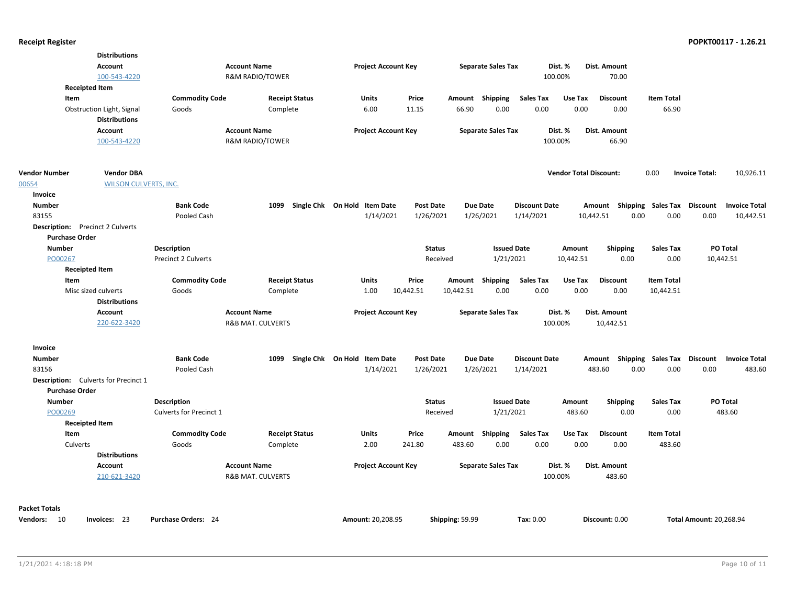|                                             | <b>Distributions</b>         |                            |                              |                              |              |                            |                  |                 |                           |                      |                               |                     |                           |                                |                      |
|---------------------------------------------|------------------------------|----------------------------|------------------------------|------------------------------|--------------|----------------------------|------------------|-----------------|---------------------------|----------------------|-------------------------------|---------------------|---------------------------|--------------------------------|----------------------|
|                                             | <b>Account</b>               |                            | <b>Account Name</b>          |                              |              | <b>Project Account Key</b> |                  |                 | <b>Separate Sales Tax</b> |                      | Dist. %                       | Dist. Amount        |                           |                                |                      |
|                                             | 100-543-4220                 |                            | <b>R&amp;M RADIO/TOWER</b>   |                              |              |                            |                  |                 |                           |                      | 100.00%                       | 70.00               |                           |                                |                      |
| <b>Receipted Item</b>                       |                              |                            |                              |                              |              |                            |                  |                 |                           |                      |                               |                     |                           |                                |                      |
| Item                                        |                              | <b>Commodity Code</b>      | <b>Receipt Status</b>        |                              | <b>Units</b> |                            | Price            |                 | Amount Shipping           | <b>Sales Tax</b>     | Use Tax                       | <b>Discount</b>     | <b>Item Total</b>         |                                |                      |
|                                             | Obstruction Light, Signal    | Goods                      | Complete                     |                              | 6.00         |                            | 11.15            | 66.90           | 0.00                      | 0.00                 | 0.00                          | 0.00                | 66.90                     |                                |                      |
|                                             | <b>Distributions</b>         |                            |                              |                              |              |                            |                  |                 |                           |                      |                               |                     |                           |                                |                      |
|                                             | <b>Account</b>               |                            | <b>Account Name</b>          |                              |              | <b>Project Account Key</b> |                  |                 | <b>Separate Sales Tax</b> |                      | Dist. %                       | <b>Dist. Amount</b> |                           |                                |                      |
|                                             | 100-543-4220                 |                            | <b>R&amp;M RADIO/TOWER</b>   |                              |              |                            |                  |                 |                           |                      | 100.00%                       | 66.90               |                           |                                |                      |
|                                             |                              |                            |                              |                              |              |                            |                  |                 |                           |                      |                               |                     |                           |                                |                      |
|                                             |                              |                            |                              |                              |              |                            |                  |                 |                           |                      |                               |                     |                           |                                |                      |
| <b>Vendor Number</b>                        | <b>Vendor DBA</b>            |                            |                              |                              |              |                            |                  |                 |                           |                      | <b>Vendor Total Discount:</b> |                     | 0.00                      | <b>Invoice Total:</b>          | 10,926.11            |
| 00654                                       | <b>WILSON CULVERTS, INC.</b> |                            |                              |                              |              |                            |                  |                 |                           |                      |                               |                     |                           |                                |                      |
| Invoice                                     |                              |                            |                              |                              |              |                            |                  |                 |                           |                      |                               |                     |                           |                                |                      |
| <b>Number</b>                               |                              | <b>Bank Code</b>           | 1099                         | Single Chk On Hold Item Date |              |                            | <b>Post Date</b> |                 | <b>Due Date</b>           | <b>Discount Date</b> |                               | Amount              | <b>Shipping Sales Tax</b> | <b>Discount</b>                | <b>Invoice Total</b> |
| 83155                                       |                              | Pooled Cash                |                              |                              |              | 1/14/2021                  | 1/26/2021        |                 | 1/26/2021                 | 1/14/2021            |                               | 10,442.51<br>0.00   | 0.00                      | 0.00                           | 10,442.51            |
| <b>Description:</b> Precinct 2 Culverts     |                              |                            |                              |                              |              |                            |                  |                 |                           |                      |                               |                     |                           |                                |                      |
| <b>Purchase Order</b>                       |                              |                            |                              |                              |              |                            |                  |                 |                           |                      |                               |                     |                           |                                |                      |
| <b>Number</b>                               |                              | <b>Description</b>         |                              |                              |              |                            | <b>Status</b>    |                 | <b>Issued Date</b>        |                      | Amount                        | <b>Shipping</b>     | <b>Sales Tax</b>          |                                | PO Total             |
| PO00267                                     |                              | <b>Precinct 2 Culverts</b> |                              |                              |              |                            | Received         |                 | 1/21/2021                 |                      | 10,442.51                     | 0.00                | 0.00                      |                                | 10,442.51            |
| <b>Receipted Item</b>                       |                              |                            |                              |                              |              |                            |                  |                 |                           |                      |                               |                     |                           |                                |                      |
| Item                                        |                              | <b>Commodity Code</b>      | <b>Receipt Status</b>        |                              | Units        |                            | Price            | Amount          | Shipping                  | <b>Sales Tax</b>     | Use Tax                       | <b>Discount</b>     | <b>Item Total</b>         |                                |                      |
| Misc sized culverts                         |                              | Goods                      | Complete                     |                              | 1.00         |                            | 10,442.51        | 10,442.51       | 0.00                      | 0.00                 | 0.00                          | 0.00                | 10,442.51                 |                                |                      |
|                                             | <b>Distributions</b>         |                            |                              |                              |              |                            |                  |                 |                           |                      |                               |                     |                           |                                |                      |
|                                             | <b>Account</b>               |                            | <b>Account Name</b>          |                              |              | <b>Project Account Key</b> |                  |                 | <b>Separate Sales Tax</b> |                      | Dist. %                       | Dist. Amount        |                           |                                |                      |
|                                             | 220-622-3420                 |                            | <b>R&amp;B MAT. CULVERTS</b> |                              |              |                            |                  |                 |                           |                      | 100.00%                       | 10,442.51           |                           |                                |                      |
| Invoice                                     |                              |                            |                              |                              |              |                            |                  |                 |                           |                      |                               |                     |                           |                                |                      |
| <b>Number</b>                               |                              | <b>Bank Code</b>           | 1099                         | Single Chk On Hold Item Date |              |                            | <b>Post Date</b> |                 | Due Date                  | <b>Discount Date</b> |                               | Amount              | <b>Shipping Sales Tax</b> | Discount                       | <b>Invoice Total</b> |
| 83156                                       |                              | Pooled Cash                |                              |                              |              | 1/14/2021                  | 1/26/2021        |                 | 1/26/2021                 | 1/14/2021            |                               | 0.00<br>483.60      | 0.00                      | 0.00                           | 483.60               |
| <b>Description:</b> Culverts for Precinct 1 |                              |                            |                              |                              |              |                            |                  |                 |                           |                      |                               |                     |                           |                                |                      |
| <b>Purchase Order</b>                       |                              |                            |                              |                              |              |                            |                  |                 |                           |                      |                               |                     |                           |                                |                      |
| <b>Number</b>                               |                              | <b>Description</b>         |                              |                              |              |                            | <b>Status</b>    |                 | <b>Issued Date</b>        |                      | Amount                        | <b>Shipping</b>     | <b>Sales Tax</b>          |                                | PO Total             |
| PO00269                                     |                              | Culverts for Precinct 1    |                              |                              |              |                            | Received         |                 | 1/21/2021                 |                      | 483.60                        | 0.00                | 0.00                      |                                | 483.60               |
| <b>Receipted Item</b>                       |                              |                            |                              |                              |              |                            |                  |                 |                           |                      |                               |                     |                           |                                |                      |
| Item                                        |                              | <b>Commodity Code</b>      | <b>Receipt Status</b>        |                              | <b>Units</b> |                            | Price            | Amount          | Shipping                  | <b>Sales Tax</b>     | Use Tax                       | <b>Discount</b>     | <b>Item Total</b>         |                                |                      |
| Culverts                                    |                              | Goods                      | Complete                     |                              | 2.00         |                            | 241.80           | 483.60          | 0.00                      | 0.00                 | 0.00                          | 0.00                | 483.60                    |                                |                      |
|                                             | <b>Distributions</b>         |                            |                              |                              |              |                            |                  |                 |                           |                      |                               |                     |                           |                                |                      |
|                                             | <b>Account</b>               |                            | <b>Account Name</b>          |                              |              | <b>Project Account Key</b> |                  |                 | <b>Separate Sales Tax</b> |                      | Dist. %                       | Dist. Amount        |                           |                                |                      |
|                                             | 210-621-3420                 |                            | <b>R&amp;B MAT. CULVERTS</b> |                              |              |                            |                  |                 |                           |                      | 100.00%                       | 483.60              |                           |                                |                      |
|                                             |                              |                            |                              |                              |              |                            |                  |                 |                           |                      |                               |                     |                           |                                |                      |
| <b>Packet Totals</b>                        |                              |                            |                              |                              |              |                            |                  |                 |                           |                      |                               |                     |                           |                                |                      |
| Vendors: 10                                 | Invoices: 23                 | <b>Purchase Orders: 24</b> |                              |                              |              | Amount: 20.208.95          |                  | Shipping: 59.99 |                           | Tax: 0.00            |                               | Discount: 0.00      |                           | <b>Total Amount: 20.268.94</b> |                      |